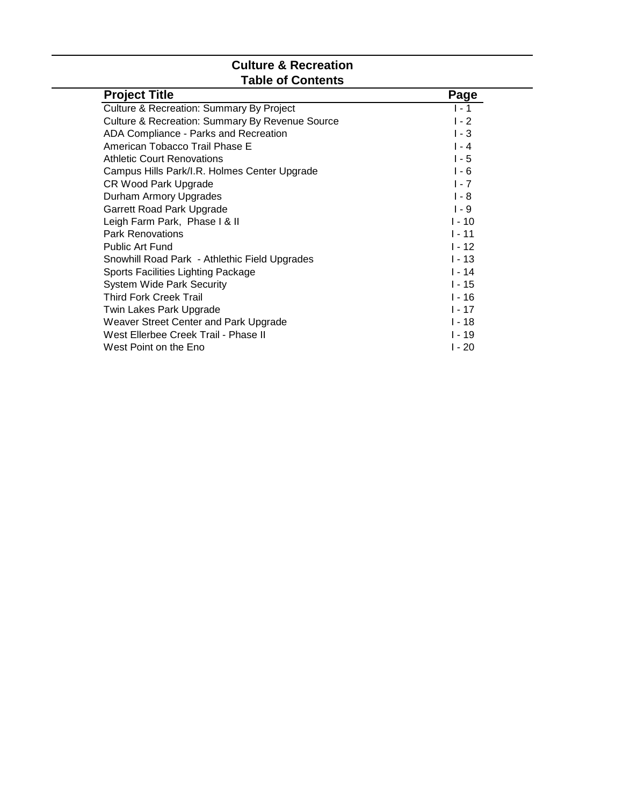# **Culture & Recreation Table of Contents**

| <b>Project Title</b>                                       | Page     |
|------------------------------------------------------------|----------|
| Culture & Recreation: Summary By Project                   | $1 - 1$  |
| <b>Culture &amp; Recreation: Summary By Revenue Source</b> | $1 - 2$  |
| ADA Compliance - Parks and Recreation                      | $1 - 3$  |
| American Tobacco Trail Phase E                             | $1 - 4$  |
| <b>Athletic Court Renovations</b>                          | $1 - 5$  |
| Campus Hills Park/I.R. Holmes Center Upgrade               | $1 - 6$  |
| <b>CR Wood Park Upgrade</b>                                | $1 - 7$  |
| Durham Armory Upgrades                                     | $1 - 8$  |
| Garrett Road Park Upgrade                                  | $1 - 9$  |
| Leigh Farm Park, Phase I & II                              | $1 - 10$ |
| <b>Park Renovations</b>                                    | $1 - 11$ |
| <b>Public Art Fund</b>                                     | $1 - 12$ |
| Snowhill Road Park - Athlethic Field Upgrades              | $1 - 13$ |
| Sports Facilities Lighting Package                         | $1 - 14$ |
| <b>System Wide Park Security</b>                           | $1 - 15$ |
| <b>Third Fork Creek Trail</b>                              | $1 - 16$ |
| Twin Lakes Park Upgrade                                    | I - 17   |
| Weaver Street Center and Park Upgrade                      | $1 - 18$ |
| West Ellerbee Creek Trail - Phase II                       | $1 - 19$ |
| West Point on the Eno                                      | $1 - 20$ |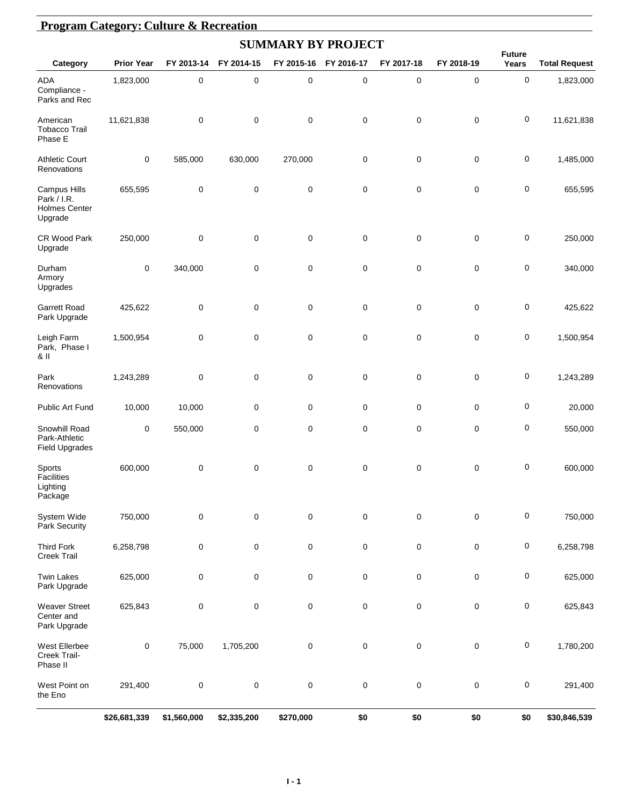|                                                                       |                   |             |             | <b>SUMMARY BY PROJECT</b> |             |             |             |                        |                      |
|-----------------------------------------------------------------------|-------------------|-------------|-------------|---------------------------|-------------|-------------|-------------|------------------------|----------------------|
| Category                                                              | <b>Prior Year</b> | FY 2013-14  | FY 2014-15  | FY 2015-16                | FY 2016-17  | FY 2017-18  | FY 2018-19  | <b>Future</b><br>Years | <b>Total Request</b> |
| <b>ADA</b><br>Compliance -<br>Parks and Rec                           | 1,823,000         | 0           | $\pmb{0}$   | $\mathbf 0$               | $\pmb{0}$   | $\pmb{0}$   | $\mathbf 0$ | $\pmb{0}$              | 1,823,000            |
| American<br><b>Tobacco Trail</b><br>Phase E                           | 11,621,838        | 0           | $\pmb{0}$   | $\mathbf 0$               | $\mathbf 0$ | 0           | $\pmb{0}$   | $\pmb{0}$              | 11,621,838           |
| <b>Athletic Court</b><br>Renovations                                  | $\pmb{0}$         | 585,000     | 630,000     | 270,000                   | 0           | 0           | $\pmb{0}$   | 0                      | 1,485,000            |
| <b>Campus Hills</b><br>Park / I.R.<br><b>Holmes Center</b><br>Upgrade | 655,595           | 0           | $\pmb{0}$   | $\mathbf 0$               | $\mathbf 0$ | 0           | $\mathbf 0$ | 0                      | 655,595              |
| CR Wood Park<br>Upgrade                                               | 250,000           | 0           | $\pmb{0}$   | $\mathbf 0$               | $\mathbf 0$ | 0           | $\pmb{0}$   | $\pmb{0}$              | 250,000              |
| Durham<br>Armory<br>Upgrades                                          | $\pmb{0}$         | 340,000     | $\mathbf 0$ | $\pmb{0}$                 | $\mathbf 0$ | 0           | $\mathbf 0$ | $\pmb{0}$              | 340,000              |
| <b>Garrett Road</b><br>Park Upgrade                                   | 425,622           | 0           | $\pmb{0}$   | $\mathbf 0$               | $\mathbf 0$ | 0           | $\mathbf 0$ | $\pmb{0}$              | 425,622              |
| Leigh Farm<br>Park, Phase I<br>& II                                   | 1,500,954         | 0           | $\pmb{0}$   | $\mathbf 0$               | $\mathbf 0$ | 0           | $\pmb{0}$   | 0                      | 1,500,954            |
| Park<br>Renovations                                                   | 1,243,289         | 0           | $\pmb{0}$   | $\mathbf 0$               | $\mathbf 0$ | $\mathbf 0$ | $\mathbf 0$ | 0                      | 1,243,289            |
| Public Art Fund                                                       | 10,000            | 10,000      | 0           | 0                         | 0           | 0           | $\mathbf 0$ | $\pmb{0}$              | 20,000               |
| Snowhill Road<br>Park-Athletic<br><b>Field Upgrades</b>               | 0                 | 550,000     | 0           | $\mathbf 0$               | 0           | 0           | $\mathbf 0$ | $\pmb{0}$              | 550,000              |
| Sports<br>Facilities<br>Lighting<br>Package                           | 600,000           | 0           | 0           | $\mathbf 0$               | 0           | 0           | $\mathbf 0$ | 0                      | 600,000              |
| System Wide<br>Park Security                                          | 750,000           | 0           | $\pmb{0}$   | $\pmb{0}$                 | $\pmb{0}$   | $\pmb{0}$   | $\pmb{0}$   | 0                      | 750,000              |
| <b>Third Fork</b><br><b>Creek Trail</b>                               | 6,258,798         | 0           | $\pmb{0}$   | $\mathbf 0$               | $\pmb{0}$   | 0           | $\pmb{0}$   | 0                      | 6,258,798            |
| <b>Twin Lakes</b><br>Park Upgrade                                     | 625,000           | 0           | $\pmb{0}$   | $\pmb{0}$                 | 0           | 0           | 0           | 0                      | 625,000              |
| <b>Weaver Street</b><br>Center and<br>Park Upgrade                    | 625,843           | 0           | $\pmb{0}$   | $\pmb{0}$                 | 0           | 0           | 0           | 0                      | 625,843              |
| West Ellerbee<br>Creek Trail-<br>Phase II                             | $\pmb{0}$         | 75,000      | 1,705,200   | $\pmb{0}$                 | $\pmb{0}$   | 0           | $\pmb{0}$   | $\pmb{0}$              | 1,780,200            |
| West Point on<br>the Eno                                              | 291,400           | 0           | $\pmb{0}$   | $\pmb{0}$                 | $\pmb{0}$   | $\pmb{0}$   | $\pmb{0}$   | 0                      | 291,400              |
|                                                                       | \$26,681,339      | \$1,560,000 | \$2,335,200 | \$270,000                 | \$0         | \$0         | \$0         | \$0                    | \$30,846,539         |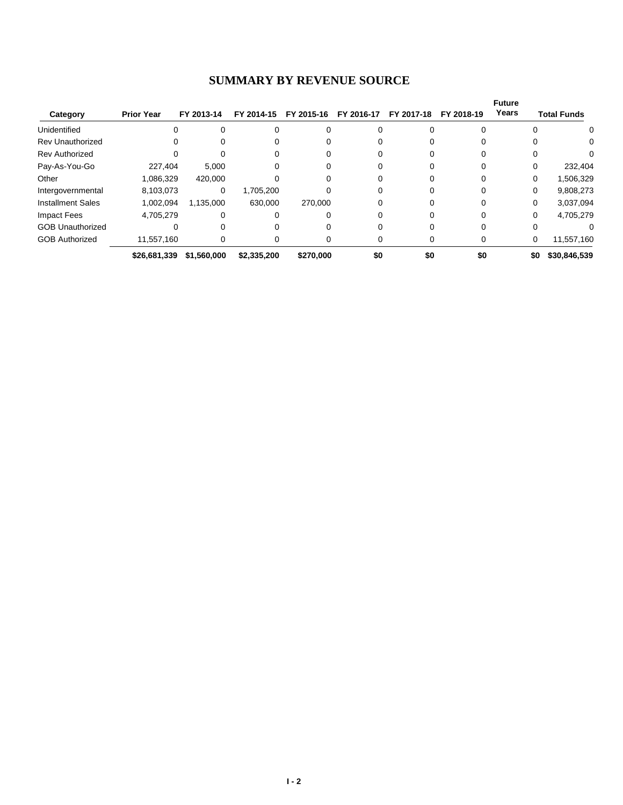#### **SUMMARY BY REVENUE SOURCE**

|                          |                   |             |             |            |            |            |            | <b>Future</b> |                    |
|--------------------------|-------------------|-------------|-------------|------------|------------|------------|------------|---------------|--------------------|
| Category                 | <b>Prior Year</b> | FY 2013-14  | FY 2014-15  | FY 2015-16 | FY 2016-17 | FY 2017-18 | FY 2018-19 | Years         | <b>Total Funds</b> |
| Unidentified             | $\Omega$          |             |             |            |            |            |            |               | 0                  |
| Rev Unauthorized         | 0                 |             |             |            |            |            |            |               | 0                  |
| <b>Rev Authorized</b>    |                   |             |             | 0          |            |            |            |               |                    |
| Pay-As-You-Go            | 227.404           | 5.000       |             |            |            |            |            |               | 232,404            |
| Other                    | 1,086,329         | 420,000     |             |            |            |            |            | 0             | 1,506,329          |
| Intergovernmental        | 8,103,073         | 0           | 1,705,200   |            |            |            |            | 0             | 9,808,273          |
| <b>Installment Sales</b> | 1.002.094         | 1,135,000   | 630.000     | 270.000    |            |            | $\Omega$   | $\Omega$      | 3,037,094          |
| <b>Impact Fees</b>       | 4,705,279         |             |             | 0          |            |            | 0          | 0             | 4,705,279          |
| <b>GOB Unauthorized</b>  |                   |             |             |            |            |            |            |               |                    |
| <b>GOB Authorized</b>    | 11,557,160        |             |             |            |            |            | 0          | 0             | 11,557,160         |
|                          | \$26,681,339      | \$1,560,000 | \$2,335,200 | \$270,000  | \$0        | \$0        | \$0        | \$0           | \$30,846,539       |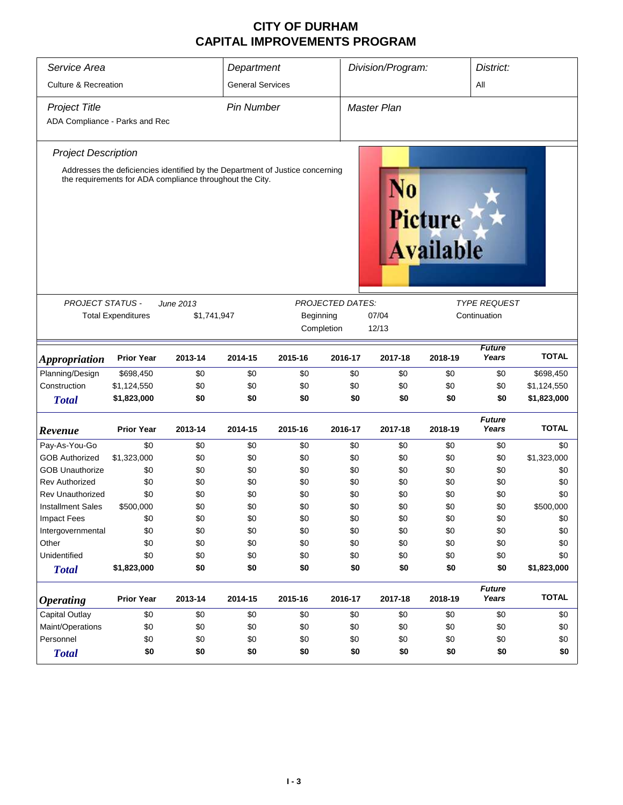| Service Area                                           |                           |                                                                               | Department              | Division/Program: |                         |             | District:                          |                        |              |  |
|--------------------------------------------------------|---------------------------|-------------------------------------------------------------------------------|-------------------------|-------------------|-------------------------|-------------|------------------------------------|------------------------|--------------|--|
| <b>Culture &amp; Recreation</b>                        |                           |                                                                               | <b>General Services</b> |                   |                         |             |                                    | All                    |              |  |
| <b>Project Title</b><br>ADA Compliance - Parks and Rec |                           |                                                                               | <b>Pin Number</b>       |                   |                         | Master Plan |                                    |                        |              |  |
| <b>Project Description</b>                             |                           |                                                                               |                         |                   |                         |             |                                    |                        |              |  |
|                                                        |                           | Addresses the deficiencies identified by the Department of Justice concerning |                         |                   |                         |             |                                    |                        |              |  |
|                                                        |                           | the requirements for ADA compliance throughout the City.                      |                         |                   |                         |             | <b>Picture</b><br><b>Available</b> |                        |              |  |
| <b>PROJECT STATUS -</b>                                |                           | June 2013                                                                     |                         |                   | <b>PROJECTED DATES:</b> |             |                                    | <b>TYPE REQUEST</b>    |              |  |
|                                                        | <b>Total Expenditures</b> | \$1,741,947                                                                   |                         | Beginning         |                         | 07/04       | Continuation                       |                        |              |  |
|                                                        |                           |                                                                               |                         |                   | Completion              | 12/13       |                                    |                        |              |  |
| <i><b>Appropriation</b></i>                            | <b>Prior Year</b>         | 2013-14                                                                       | 2014-15                 | 2015-16           | 2016-17                 | 2017-18     | 2018-19                            | <b>Future</b><br>Years | <b>TOTAL</b> |  |
| Planning/Design                                        | \$698,450                 | \$0                                                                           | \$0                     | \$0               | \$0                     | \$0         | \$0                                | \$0                    | \$698,450    |  |
| Construction                                           | \$1,124,550               | \$0                                                                           | \$0                     | \$0               | \$0                     | \$0         | \$0                                | \$0                    | \$1,124,550  |  |
| <b>Total</b>                                           | \$1,823,000               | \$0                                                                           | \$0                     | \$0               | \$0                     | \$0         | \$0                                | \$0                    | \$1,823,000  |  |
| Revenue                                                | <b>Prior Year</b>         | 2013-14                                                                       | 2014-15                 | 2015-16           | 2016-17                 | 2017-18     | 2018-19                            | <b>Future</b><br>Years | <b>TOTAL</b> |  |
| Pay-As-You-Go                                          | \$0                       | \$0                                                                           | \$0                     | \$0               | \$0                     | \$0         | \$0                                | \$0                    | \$0          |  |
| <b>GOB Authorized</b>                                  | \$1,323,000               | \$0                                                                           | \$0                     | \$0               | \$0                     | \$0         | \$0                                | \$0                    | \$1,323,000  |  |
| <b>GOB Unauthorize</b>                                 | \$0                       | \$0                                                                           | \$0                     | \$0               | \$0                     | \$0         | \$0                                | \$0                    | \$0          |  |
| Rev Authorized                                         | \$0                       | \$0                                                                           | \$0                     | \$0               | \$0                     | \$0         | \$0                                | \$0                    | \$0          |  |
| Rev Unauthorized                                       | \$0                       | \$0                                                                           | \$0                     | \$0               | \$0                     | \$0         | \$0                                | \$0                    | \$0          |  |
| <b>Installment Sales</b>                               | \$500,000                 | \$0                                                                           | \$0                     | \$0               | \$0                     | \$0         | \$0                                | \$0                    | \$500,000    |  |
| <b>Impact Fees</b>                                     | \$0                       | \$0                                                                           | \$0                     | \$0               | \$0                     | \$0         | \$0                                | \$0                    | \$0          |  |
| Intergovernmental                                      | \$0                       | \$0                                                                           | \$0                     | \$0               | \$0                     | \$0         | \$0                                | \$0                    | \$0          |  |
| Other                                                  | \$0                       | \$0                                                                           | \$0                     | \$0               | \$0                     | \$0         | \$0                                | \$0                    | \$0          |  |
| Unidentified                                           | \$0                       | \$0                                                                           | \$0                     | \$0               | \$0                     | \$0         | \$0                                | \$0                    | \$0          |  |
| <b>Total</b>                                           | \$1,823,000               | \$0                                                                           | \$0                     | \$0               | \$0                     | \$0         | \$0                                | \$0                    | \$1,823,000  |  |
| <b>Operating</b>                                       | <b>Prior Year</b>         | 2013-14                                                                       | 2014-15                 | 2015-16           | 2016-17                 | 2017-18     | 2018-19                            | <b>Future</b><br>Years | <b>TOTAL</b> |  |
| Capital Outlay                                         | \$0                       | \$0                                                                           | \$0                     | \$0               | \$0                     | \$0         | \$0                                | \$0                    | \$0          |  |
| Maint/Operations                                       | \$0                       | \$0                                                                           | \$0                     | \$0               | \$0                     | \$0         | \$0                                | \$0                    | \$0          |  |
| Personnel                                              | \$0                       | \$0                                                                           | \$0                     | \$0               | \$0                     | \$0         | \$0                                | \$0                    | \$0          |  |
| <b>Total</b>                                           | \$0                       | \$0                                                                           | \$0                     | \$0               | \$0                     | \$0         | \$0                                | \$0                    | \$0          |  |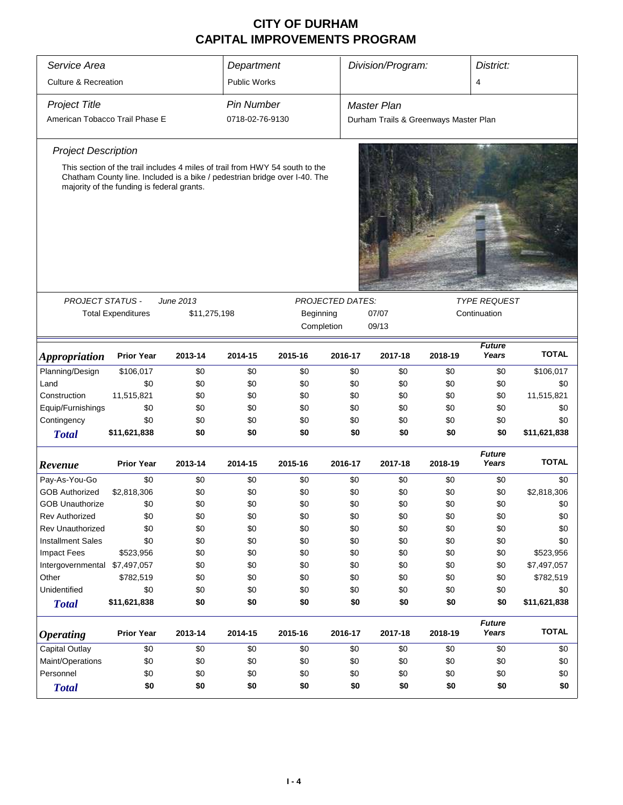| Service Area                    | Department                                                                                                               |              |                   | Division/Program: |                         |                                       | District: |                        |              |  |
|---------------------------------|--------------------------------------------------------------------------------------------------------------------------|--------------|-------------------|-------------------|-------------------------|---------------------------------------|-----------|------------------------|--------------|--|
| <b>Culture &amp; Recreation</b> |                                                                                                                          |              | Public Works      |                   |                         |                                       |           | 4                      |              |  |
| <b>Project Title</b>            |                                                                                                                          |              | <b>Pin Number</b> |                   |                         | <b>Master Plan</b>                    |           |                        |              |  |
| American Tobacco Trail Phase E  |                                                                                                                          |              | 0718-02-76-9130   |                   |                         | Durham Trails & Greenways Master Plan |           |                        |              |  |
| <b>Project Description</b>      |                                                                                                                          |              |                   |                   |                         |                                       |           |                        |              |  |
|                                 | This section of the trail includes 4 miles of trail from HWY 54 south to the                                             |              |                   |                   |                         |                                       |           |                        |              |  |
|                                 | Chatham County line. Included is a bike / pedestrian bridge over I-40. The<br>majority of the funding is federal grants. |              |                   |                   |                         |                                       |           |                        |              |  |
| PROJECT STATUS -                |                                                                                                                          | June 2013    |                   |                   | <b>PROJECTED DATES:</b> |                                       |           | <b>TYPE REQUEST</b>    |              |  |
|                                 | <b>Total Expenditures</b>                                                                                                | \$11,275,198 |                   | Beginning         |                         | 07/07<br>Continuation                 |           |                        |              |  |
|                                 |                                                                                                                          |              |                   |                   | Completion              | 09/13                                 |           |                        |              |  |
|                                 |                                                                                                                          |              |                   |                   |                         |                                       |           |                        |              |  |
| <b>Appropriation</b>            | <b>Prior Year</b>                                                                                                        | 2013-14      | 2014-15           | 2015-16           | 2016-17                 | 2017-18                               | 2018-19   | <b>Future</b><br>Years | <b>TOTAL</b> |  |
| Planning/Design                 | \$106,017                                                                                                                | \$0          | \$0               | \$0               | \$0                     | \$0                                   | \$0       | \$0                    | \$106,017    |  |
| Land                            | \$0                                                                                                                      | \$0          | \$0               | \$0               | \$0                     | \$0                                   | \$0       | \$0                    | \$0          |  |
| Construction                    | 11,515,821                                                                                                               | \$0          | \$0               | \$0               | \$0                     | \$0                                   | \$0       | \$0                    | 11,515,821   |  |
| Equip/Furnishings               | \$0                                                                                                                      | \$0          | \$0               | \$0               | \$0                     | \$0                                   | \$0       | \$0                    | \$0          |  |
| Contingency                     | \$0                                                                                                                      | \$0          | \$0               | \$0               | \$0                     | \$0                                   | \$0       | \$0                    | \$0          |  |
| <b>Total</b>                    | \$11,621,838                                                                                                             | \$0          | \$0               | \$0               | \$0                     | \$0                                   | \$0       | \$0                    | \$11,621,838 |  |
| Revenue                         | <b>Prior Year</b>                                                                                                        | 2013-14      | 2014-15           | 2015-16           | 2016-17                 | 2017-18                               | 2018-19   | <b>Future</b><br>Years | <b>TOTAL</b> |  |
| Pay-As-You-Go                   | \$0                                                                                                                      | \$0          | \$0               | \$0               | \$0                     | \$0                                   | \$0       | \$0                    | \$0          |  |
| <b>GOB Authorized</b>           | \$2,818,306                                                                                                              | \$0          | \$0               | \$0               | \$0                     | \$0                                   | \$0       | \$0                    | \$2,818,306  |  |
| <b>GOB Unauthorize</b>          | \$0                                                                                                                      | \$0          | \$0               | \$0               | \$0                     | \$0                                   | \$0       | \$0                    | \$0          |  |
| <b>Rev Authorized</b>           | \$0                                                                                                                      | \$0          | \$0               | \$0               | \$0                     | \$0                                   | \$0       | \$0                    | \$0          |  |
| Rev Unauthorized                | \$0                                                                                                                      | \$0          | \$0               | \$0               | \$0                     | \$0                                   | \$0       | \$0                    | \$0          |  |
| <b>Installment Sales</b>        | \$0                                                                                                                      | \$0          | \$0               | \$0               | \$0                     | \$0                                   | \$0       | \$0                    | \$0          |  |
| Impact Fees                     | \$523,956                                                                                                                | \$0          | \$0               | \$0               | \$0                     | \$0                                   | \$0       | \$0                    | \$523,956    |  |
| Intergovernmental \$7,497,057   |                                                                                                                          | \$0          | \$0               | \$0               | \$0                     | \$0                                   | \$0       | \$0                    | \$7,497,057  |  |
| Other                           | \$782,519                                                                                                                | \$0          | \$0               | \$0               | \$0                     | \$0                                   | \$0       | \$0                    | \$782,519    |  |
| Unidentified                    | \$0                                                                                                                      | \$0          | \$0               | \$0               | \$0                     | \$0                                   | \$0       | \$0                    | \$0          |  |
| <b>Total</b>                    | \$11,621,838                                                                                                             | \$0          | \$0               | \$0               | \$0                     | \$0                                   | \$0       | \$0                    | \$11,621,838 |  |
| <b>Operating</b>                | <b>Prior Year</b>                                                                                                        | 2013-14      | 2014-15           | 2015-16           | 2016-17                 | 2017-18                               | 2018-19   | <b>Future</b><br>Years | <b>TOTAL</b> |  |
| <b>Capital Outlay</b>           | \$0                                                                                                                      | \$0          | \$0               | \$0               | \$0                     | \$0                                   | \$0       | \$0                    | \$0          |  |
| Maint/Operations                | \$0                                                                                                                      | \$0          | \$0               | \$0               | \$0                     | \$0                                   | \$0       | \$0                    | \$0          |  |
| Personnel                       | \$0                                                                                                                      | \$0          | \$0               | \$0               | \$0                     | \$0                                   | \$0       | \$0                    | \$0          |  |
| <b>Total</b>                    | \$0                                                                                                                      | \$0          | \$0               | \$0               | \$0                     | \$0                                   | \$0       | \$0                    | \$0          |  |
|                                 |                                                                                                                          |              |                   |                   |                         |                                       |           |                        |              |  |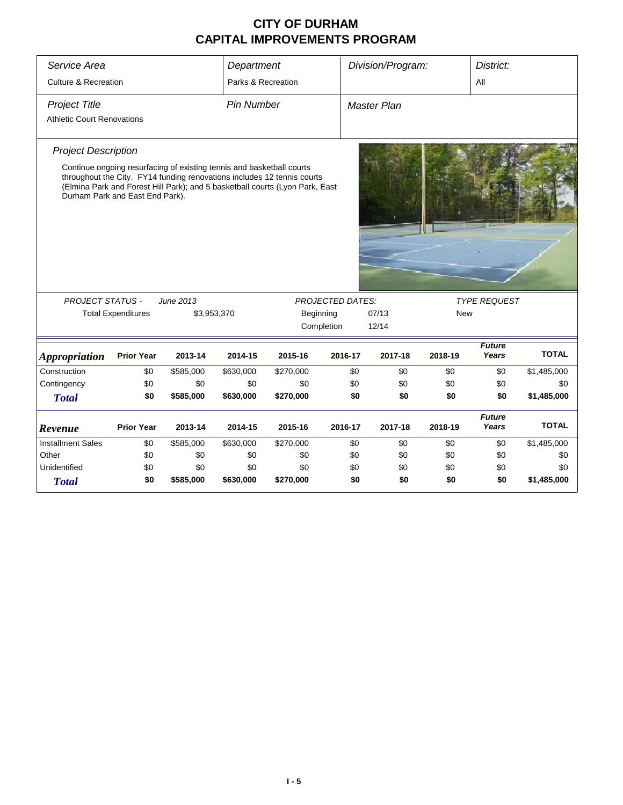| Service Area                                       |                                                                                                          |           | Department         |                                                                                                                                                         |                         | Division/Program:  |            | District:              |              |
|----------------------------------------------------|----------------------------------------------------------------------------------------------------------|-----------|--------------------|---------------------------------------------------------------------------------------------------------------------------------------------------------|-------------------------|--------------------|------------|------------------------|--------------|
| <b>Culture &amp; Recreation</b>                    |                                                                                                          |           | Parks & Recreation |                                                                                                                                                         |                         |                    |            | All                    |              |
| Project Title<br><b>Athletic Court Renovations</b> |                                                                                                          |           | <b>Pin Number</b>  |                                                                                                                                                         |                         | <b>Master Plan</b> |            |                        |              |
| <b>Project Description</b>                         | Continue ongoing resurfacing of existing tennis and basketball courts<br>Durham Park and East End Park). |           |                    | throughout the City. FY14 funding renovations includes 12 tennis courts<br>(Elmina Park and Forest Hill Park); and 5 basketball courts (Lyon Park, East |                         |                    |            |                        |              |
| <b>PROJECT STATUS -</b>                            |                                                                                                          | June 2013 |                    |                                                                                                                                                         | <b>PROJECTED DATES:</b> |                    |            | <b>TYPE REQUEST</b>    |              |
|                                                    | <b>Total Expenditures</b>                                                                                |           | \$3,953,370        | Beginning                                                                                                                                               | Completion              | 07/13<br>12/14     | <b>New</b> |                        |              |
| <i><b>Appropriation</b></i>                        | <b>Prior Year</b>                                                                                        | 2013-14   | 2014-15            | 2015-16                                                                                                                                                 | 2016-17                 | 2017-18            | 2018-19    | <b>Future</b><br>Years | <b>TOTAL</b> |
| Construction                                       | \$0                                                                                                      | \$585,000 | \$630,000          | \$270,000                                                                                                                                               | \$0                     | \$0                | \$0        | \$0                    | \$1,485,000  |
| Contingency                                        | \$0                                                                                                      | \$0       | \$0                | \$0                                                                                                                                                     | \$0                     | \$0                | \$0        | \$0                    | \$0          |
| <b>Total</b>                                       | \$0                                                                                                      | \$585,000 | \$630,000          | \$270,000                                                                                                                                               | \$0                     | \$0                | \$0        | \$0                    | \$1,485,000  |
| Revenue                                            | <b>Prior Year</b>                                                                                        | 2013-14   | 2014-15            | 2015-16                                                                                                                                                 | 2016-17                 | 2017-18            | 2018-19    | <b>Future</b><br>Years | <b>TOTAL</b> |
| <b>Installment Sales</b>                           | \$0                                                                                                      | \$585,000 | \$630,000          | \$270,000                                                                                                                                               | \$0                     | \$0                | \$0        | \$0                    | \$1,485,000  |
| Other                                              | \$0                                                                                                      | \$0       | \$0                | \$0                                                                                                                                                     | \$0                     | \$0                | \$0        | \$0                    | \$0          |
| Unidentified                                       | \$0                                                                                                      | \$0       | \$0                |                                                                                                                                                         |                         |                    |            |                        |              |
|                                                    |                                                                                                          |           |                    | \$0                                                                                                                                                     | \$0                     | \$0                | \$0        | \$0                    | \$0          |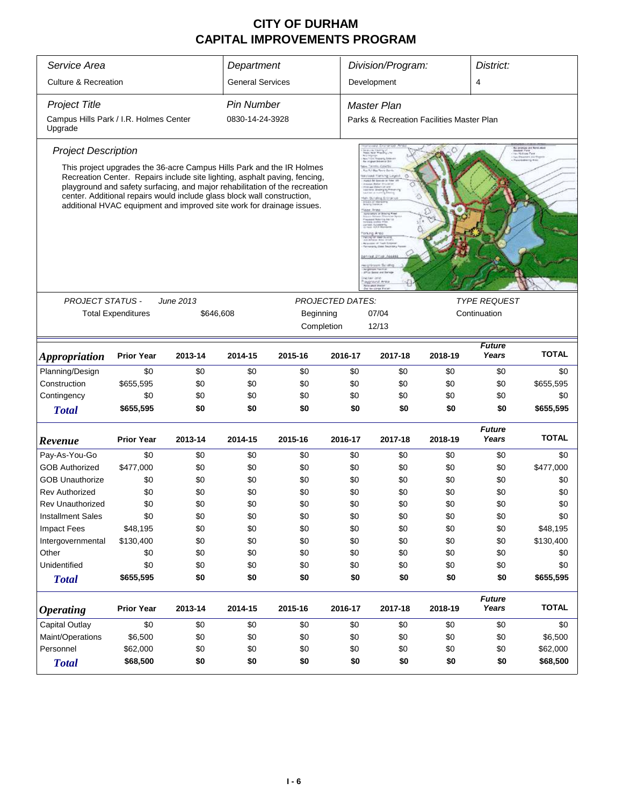| Service Area                                      |                           |                                                                         | Department              |                                                                                                                                                                                                                                                                                                             |         | Division/Program:                                       |         | District:              |              |  |
|---------------------------------------------------|---------------------------|-------------------------------------------------------------------------|-------------------------|-------------------------------------------------------------------------------------------------------------------------------------------------------------------------------------------------------------------------------------------------------------------------------------------------------------|---------|---------------------------------------------------------|---------|------------------------|--------------|--|
| <b>Culture &amp; Recreation</b>                   |                           |                                                                         | <b>General Services</b> |                                                                                                                                                                                                                                                                                                             |         | Development                                             |         | 4                      |              |  |
| <b>Project Title</b>                              |                           |                                                                         | <b>Pin Number</b>       |                                                                                                                                                                                                                                                                                                             |         | <b>Master Plan</b>                                      |         |                        |              |  |
| Campus Hills Park / I.R. Holmes Center<br>Upgrade |                           |                                                                         | 0830-14-24-3928         |                                                                                                                                                                                                                                                                                                             |         | Parks & Recreation Facilities Master Plan               |         |                        |              |  |
| <b>Project Description</b>                        |                           |                                                                         |                         |                                                                                                                                                                                                                                                                                                             |         |                                                         |         |                        |              |  |
|                                                   |                           | center. Additional repairs would include glass block wall construction, |                         | This project upgrades the 36-acre Campus Hills Park and the IR Holmes<br>Recreation Center. Repairs include site lighting, asphalt paving, fencing,<br>playground and safety surfacing, and major rehabilitation of the recreation<br>additional HVAC equipment and improved site work for drainage issues. |         |                                                         |         |                        |              |  |
|                                                   |                           |                                                                         |                         |                                                                                                                                                                                                                                                                                                             |         |                                                         |         |                        |              |  |
| <b>PROJECT STATUS -</b>                           |                           | June 2013                                                               |                         |                                                                                                                                                                                                                                                                                                             |         | PROJECTED DATES:<br><b>TYPE REQUEST</b><br>Continuation |         |                        |              |  |
|                                                   | <b>Total Expenditures</b> | \$646,608                                                               |                         | Beginning                                                                                                                                                                                                                                                                                                   |         | 07/04                                                   |         |                        |              |  |
|                                                   |                           |                                                                         |                         | Completion                                                                                                                                                                                                                                                                                                  |         | 12/13                                                   |         |                        |              |  |
|                                                   |                           |                                                                         |                         |                                                                                                                                                                                                                                                                                                             |         |                                                         |         | <b>Future</b>          |              |  |
| <i><b>Appropriation</b></i>                       | <b>Prior Year</b>         | 2013-14                                                                 | 2014-15                 | 2015-16                                                                                                                                                                                                                                                                                                     | 2016-17 | 2017-18                                                 | 2018-19 | Years                  | <b>TOTAL</b> |  |
| Planning/Design                                   | \$0                       | \$0                                                                     | \$0                     | \$0                                                                                                                                                                                                                                                                                                         | \$0     | \$0                                                     | \$0     | \$0                    | \$0          |  |
| Construction                                      | \$655,595                 | \$0                                                                     | \$0                     | \$0                                                                                                                                                                                                                                                                                                         | \$0     | \$0                                                     | \$0     | \$0                    | \$655,595    |  |
| Contingency                                       | \$0                       | \$0                                                                     | \$0                     | \$0                                                                                                                                                                                                                                                                                                         | \$0     | \$0                                                     | \$0     | \$0                    | \$0          |  |
| <b>Total</b>                                      | \$655,595                 | \$0                                                                     | \$0                     | \$0                                                                                                                                                                                                                                                                                                         | \$0     | \$0                                                     | \$0     | \$0                    | \$655,595    |  |
| Revenue                                           | <b>Prior Year</b>         | 2013-14                                                                 | 2014-15                 | 2015-16                                                                                                                                                                                                                                                                                                     | 2016-17 | 2017-18                                                 | 2018-19 | <b>Future</b><br>Years | <b>TOTAL</b> |  |
| Pay-As-You-Go                                     | \$0                       | \$0                                                                     | \$0                     | \$0                                                                                                                                                                                                                                                                                                         | \$0     | \$0                                                     | \$0     | \$0                    | \$0          |  |
| <b>GOB Authorized</b>                             | \$477,000                 | \$0                                                                     | \$0                     | \$0                                                                                                                                                                                                                                                                                                         | \$0     | \$0                                                     | \$0     | \$0                    | \$477,000    |  |
| <b>GOB Unauthorize</b>                            | \$0                       | \$0                                                                     | \$0                     | \$0                                                                                                                                                                                                                                                                                                         | \$0     | \$0                                                     | \$0     | \$0                    | \$0          |  |
| Rev Authorized                                    | \$0                       | \$0                                                                     | \$0                     | \$0                                                                                                                                                                                                                                                                                                         | \$0     | \$0                                                     | \$0     | \$0                    | \$0          |  |
| <b>Rev Unauthorized</b>                           | \$0                       | \$0                                                                     | \$0                     | \$0                                                                                                                                                                                                                                                                                                         | \$0     | \$0                                                     | \$0     | \$0                    | \$0          |  |
| <b>Installment Sales</b>                          | \$0                       | \$0                                                                     | \$0                     | \$0                                                                                                                                                                                                                                                                                                         | \$0     | \$0                                                     | \$0     | \$0                    | \$0          |  |
| <b>Impact Fees</b>                                | \$48,195                  | \$0                                                                     | \$0                     | \$0                                                                                                                                                                                                                                                                                                         | \$0     | \$0                                                     | \$0     | \$0                    | \$48,195     |  |
| Intergovernmental                                 | \$130,400                 | \$0                                                                     | \$0                     | \$0                                                                                                                                                                                                                                                                                                         | \$0     | \$0                                                     | \$0     | \$0                    | \$130,400    |  |
| Other                                             | \$0                       | \$0                                                                     | \$0                     | \$0                                                                                                                                                                                                                                                                                                         | \$0     | \$0                                                     | \$0     | \$0                    | \$0          |  |
| Unidentified                                      | \$0                       | \$0                                                                     | \$0                     | \$0                                                                                                                                                                                                                                                                                                         | \$0     | \$0                                                     | \$0     | \$0                    | \$0          |  |
| <b>Total</b>                                      | \$655,595                 | \$0                                                                     | \$0                     | \$0                                                                                                                                                                                                                                                                                                         | \$0     | \$0                                                     | \$0     | \$0                    | \$655,595    |  |
| <b>Operating</b>                                  | <b>Prior Year</b>         | 2013-14                                                                 | 2014-15                 | 2015-16                                                                                                                                                                                                                                                                                                     | 2016-17 | 2017-18                                                 | 2018-19 | <b>Future</b><br>Years | <b>TOTAL</b> |  |
| <b>Capital Outlay</b>                             | \$0                       | \$0                                                                     | \$0                     | \$0                                                                                                                                                                                                                                                                                                         | \$0     | \$0                                                     | \$0     | \$0                    | \$0          |  |
| Maint/Operations                                  | \$6,500                   | \$0                                                                     | \$0                     | \$0                                                                                                                                                                                                                                                                                                         | \$0     | \$0                                                     | \$0     | \$0                    | \$6,500      |  |
| Personnel                                         | \$62,000                  | \$0                                                                     | \$0                     | \$0                                                                                                                                                                                                                                                                                                         | \$0     | \$0                                                     | \$0     | \$0                    | \$62,000     |  |
| <b>Total</b>                                      | \$68,500                  | \$0                                                                     | \$0                     | \$0                                                                                                                                                                                                                                                                                                         | \$0     | \$0                                                     | \$0     | \$0                    | \$68,500     |  |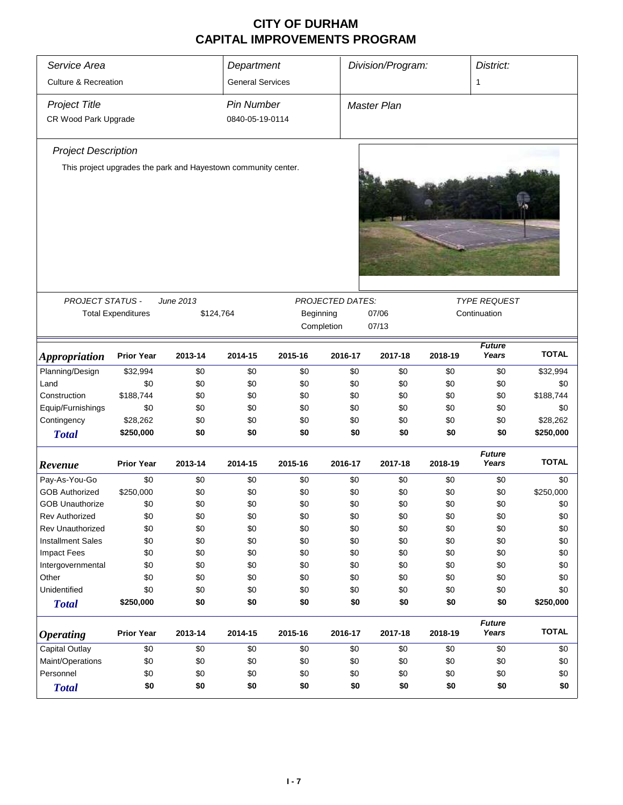| Service Area                    |                                                                |           |                         | Division/Program:<br>District:<br>Department |                  |                       |         |                        |              |
|---------------------------------|----------------------------------------------------------------|-----------|-------------------------|----------------------------------------------|------------------|-----------------------|---------|------------------------|--------------|
| <b>Culture &amp; Recreation</b> |                                                                |           | <b>General Services</b> |                                              |                  |                       |         | 1                      |              |
| <b>Project Title</b>            |                                                                |           | <b>Pin Number</b>       |                                              |                  | Master Plan           |         |                        |              |
| CR Wood Park Upgrade            |                                                                |           | 0840-05-19-0114         |                                              |                  |                       |         |                        |              |
| <b>Project Description</b>      |                                                                |           |                         |                                              |                  |                       |         |                        |              |
|                                 | This project upgrades the park and Hayestown community center. |           |                         |                                              |                  |                       |         |                        |              |
|                                 |                                                                |           |                         |                                              |                  |                       |         |                        |              |
| PROJECT STATUS -                |                                                                | June 2013 |                         |                                              | PROJECTED DATES: |                       |         | <b>TYPE REQUEST</b>    |              |
|                                 | <b>Total Expenditures</b>                                      | \$124,764 |                         | Beginning                                    |                  | Continuation<br>07/06 |         |                        |              |
|                                 |                                                                |           |                         |                                              | Completion       | 07/13                 |         |                        |              |
| <b>Appropriation</b>            | <b>Prior Year</b>                                              | 2013-14   | 2014-15                 | 2015-16                                      | 2016-17          | 2017-18               | 2018-19 | <b>Future</b><br>Years | <b>TOTAL</b> |
| Planning/Design                 | \$32,994                                                       | \$0       | \$0                     | \$0                                          | \$0              | \$0                   | \$0     | \$0                    | \$32,994     |
| Land                            | \$0                                                            | \$0       | \$0                     | \$0                                          | \$0              | \$0                   | \$0     | \$0                    | \$0          |
| Construction                    | \$188,744                                                      | \$0       | \$0                     | \$0                                          | \$0              | \$0                   | \$0     | \$0                    | \$188,744    |
| Equip/Furnishings               | \$0                                                            | \$0       | \$0                     | \$0                                          | \$0              | \$0                   | \$0     | \$0                    | \$0          |
| Contingency                     | \$28,262                                                       | \$0       | \$0                     | \$0                                          | \$0              | \$0                   | \$0     | \$0                    | \$28,262     |
| <b>Total</b>                    | \$250,000                                                      | \$0       | \$0                     | \$0                                          | \$0              | \$0                   | \$0     | \$0                    | \$250,000    |
| Revenue                         | <b>Prior Year</b>                                              | 2013-14   | 2014-15                 | 2015-16                                      | 2016-17          | 2017-18               | 2018-19 | <b>Future</b><br>Years | <b>TOTAL</b> |
| Pay-As-You-Go                   | \$0                                                            | \$0       | \$0                     | \$0                                          | \$0              | \$0                   | \$0     | \$0                    | \$0          |
| <b>GOB Authorized</b>           | \$250,000                                                      | \$0       | \$0                     | \$0                                          | \$0              | \$0                   | \$0     | \$0                    | \$250,000    |
| <b>GOB Unauthorize</b>          | \$0                                                            | \$0       | \$0                     | \$0                                          | \$0              | \$0                   | \$0     | \$0                    | \$0          |
| <b>Rev Authorized</b>           | \$0                                                            | \$0       | \$0                     | \$0                                          | \$0              | \$0                   | \$0     | \$0                    | \$0          |
| Rev Unauthorized                | \$0                                                            | \$0       | \$0                     | \$0                                          | \$0              | \$0                   | \$0     | \$0                    | \$0          |
| <b>Installment Sales</b>        | \$0                                                            | \$0       | \$0                     | \$0                                          | \$0              | \$0                   | \$0     | \$0                    | \$0          |
| Impact Fees                     | \$0                                                            | \$0       | \$0                     | \$0                                          | \$0              | \$0                   | \$0     | \$0                    | \$0          |
| Intergovernmental               | \$0                                                            | \$0       | \$0                     | \$0                                          | \$0              | \$0                   | \$0     | \$0                    | \$0          |
| Other                           | \$0                                                            | \$0       | \$0                     | \$0                                          | \$0              | \$0                   | \$0     | \$0                    | \$0          |
| Unidentified                    | \$0                                                            | \$0       | \$0                     | \$0                                          | \$0              | \$0                   | \$0     | \$0                    | \$0          |
| <b>Total</b>                    | \$250,000                                                      | \$0       | \$0                     | \$0                                          | \$0              | \$0                   | \$0     | \$0                    | \$250,000    |
| <b>Operating</b>                | <b>Prior Year</b>                                              | 2013-14   | 2014-15                 | 2015-16                                      | 2016-17          | 2017-18               | 2018-19 | <b>Future</b><br>Years | <b>TOTAL</b> |
| Capital Outlay                  | \$0                                                            | \$0       | \$0                     | \$0                                          | \$0              | \$0                   | \$0     | \$0                    | \$0          |
| Maint/Operations                | \$0                                                            | \$0       | \$0                     | \$0                                          | \$0              | \$0                   | \$0     | \$0                    | \$0          |
| Personnel                       | \$0                                                            | \$0       | \$0                     | \$0                                          | \$0              | \$0                   | \$0     | \$0                    | \$0          |
| <b>Total</b>                    | \$0                                                            | \$0       | \$0                     | \$0                                          | \$0              | \$0                   | \$0     | \$0                    | \$0          |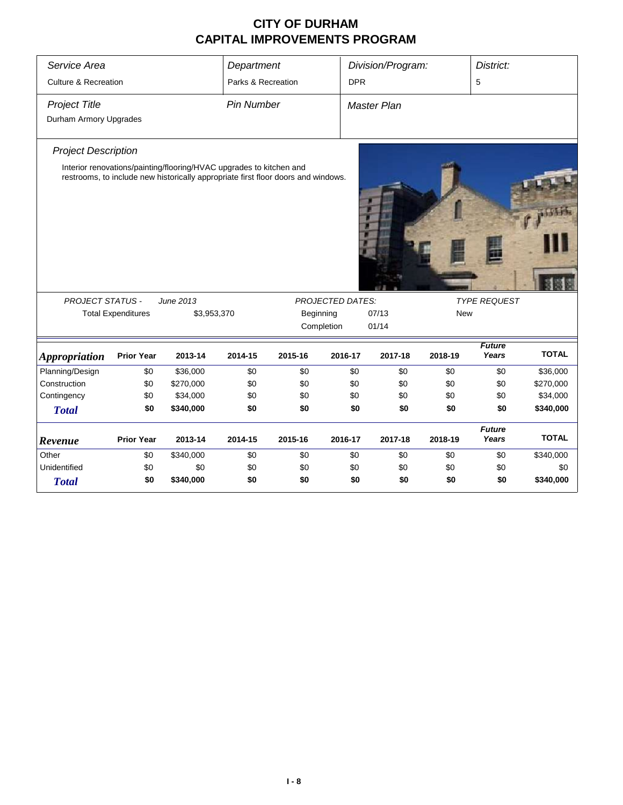| Service Area                    |                           |                                                                                                                                                          | Department         |           |                         | Division/Program:  |            | District:              |              |
|---------------------------------|---------------------------|----------------------------------------------------------------------------------------------------------------------------------------------------------|--------------------|-----------|-------------------------|--------------------|------------|------------------------|--------------|
| <b>Culture &amp; Recreation</b> |                           |                                                                                                                                                          | Parks & Recreation |           | <b>DPR</b>              |                    |            | 5                      |              |
| <b>Project Title</b>            |                           |                                                                                                                                                          | <b>Pin Number</b>  |           |                         | <b>Master Plan</b> |            |                        |              |
| Durham Armory Upgrades          |                           |                                                                                                                                                          |                    |           |                         |                    |            |                        |              |
| <b>Project Description</b>      |                           |                                                                                                                                                          |                    |           |                         |                    |            |                        |              |
|                                 |                           | Interior renovations/painting/flooring/HVAC upgrades to kitchen and<br>restrooms, to include new historically appropriate first floor doors and windows. |                    |           |                         |                    |            |                        |              |
| <b>PROJECT STATUS -</b>         |                           | June 2013                                                                                                                                                |                    |           | <b>PROJECTED DATES:</b> |                    |            | <b>TYPE REQUEST</b>    |              |
|                                 | <b>Total Expenditures</b> | \$3,953,370                                                                                                                                              |                    | Beginning |                         | 07/13              | <b>New</b> |                        |              |
|                                 |                           |                                                                                                                                                          |                    |           | Completion              | 01/14              |            |                        |              |
| <b>Appropriation</b>            | <b>Prior Year</b>         | 2013-14                                                                                                                                                  | 2014-15            | 2015-16   | 2016-17                 | 2017-18            | 2018-19    | <b>Future</b><br>Years | <b>TOTAL</b> |
| Planning/Design                 | \$0                       | \$36,000                                                                                                                                                 | \$0                | \$0       | \$0                     | \$0                | \$0        | \$0                    | \$36,000     |
| Construction                    | \$0                       | \$270,000                                                                                                                                                | \$0                | \$0       | \$0                     | \$0                | \$0        | \$0                    | \$270,000    |
| Contingency                     | \$0                       | \$34,000                                                                                                                                                 | \$0                | \$0       | \$0                     | \$0                | \$0        | \$0                    | \$34,000     |
| <b>Total</b>                    | \$0                       | \$340,000                                                                                                                                                | \$0                | \$0       | \$0                     | \$0                | \$0        | \$0                    | \$340,000    |
| Revenue                         | <b>Prior Year</b>         | 2013-14                                                                                                                                                  | 2014-15            | 2015-16   | 2016-17                 | 2017-18            | 2018-19    | <b>Future</b><br>Years | <b>TOTAL</b> |
| Other                           | \$0                       | \$340,000                                                                                                                                                | \$0                | \$0       | \$0                     | \$0                | \$0        | \$0                    | \$340,000    |
| Unidentified                    | \$0                       | \$0                                                                                                                                                      | \$0                | \$0       | \$0                     | \$0                | \$0        | \$0                    | \$0          |
| <b>Total</b>                    | \$0                       | \$340,000                                                                                                                                                | \$0                | \$0       | \$0                     | \$0                | \$0        | \$0                    | \$340,000    |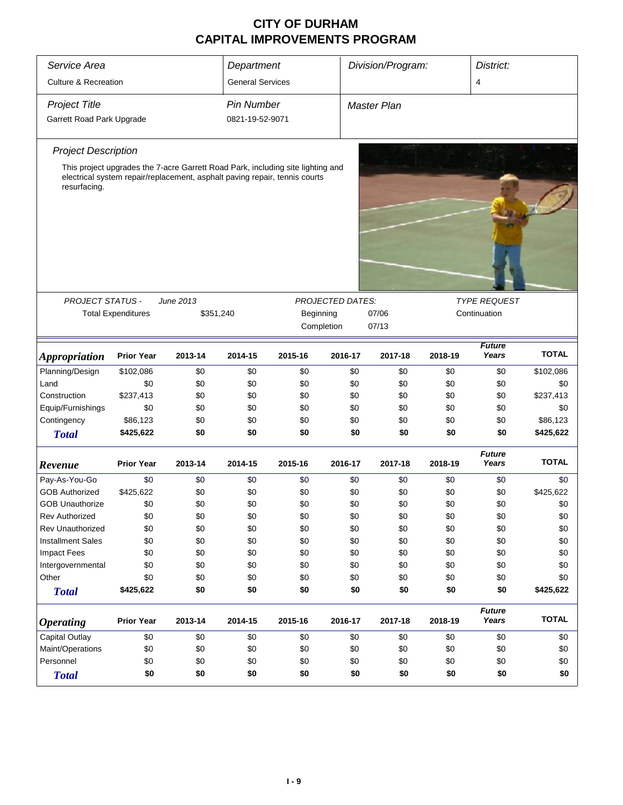| Service Area<br>Division/Program:<br>District:<br>Department |                           |                                                                                 |                         |            |                         |             |            |                        |                       |
|--------------------------------------------------------------|---------------------------|---------------------------------------------------------------------------------|-------------------------|------------|-------------------------|-------------|------------|------------------------|-----------------------|
| <b>Culture &amp; Recreation</b>                              |                           |                                                                                 | <b>General Services</b> |            |                         |             |            | 4                      |                       |
| <b>Project Title</b>                                         |                           |                                                                                 | <b>Pin Number</b>       |            |                         | Master Plan |            |                        |                       |
| Garrett Road Park Upgrade                                    |                           |                                                                                 | 0821-19-52-9071         |            |                         |             |            |                        |                       |
| <b>Project Description</b>                                   |                           |                                                                                 |                         |            |                         |             |            |                        |                       |
|                                                              |                           | This project upgrades the 7-acre Garrett Road Park, including site lighting and |                         |            |                         |             |            |                        |                       |
| resurfacing.                                                 |                           | electrical system repair/replacement, asphalt paving repair, tennis courts      |                         |            |                         |             |            |                        |                       |
|                                                              |                           |                                                                                 |                         |            |                         |             |            |                        |                       |
|                                                              |                           |                                                                                 |                         |            |                         |             |            |                        |                       |
|                                                              |                           |                                                                                 |                         |            |                         |             |            |                        |                       |
|                                                              |                           |                                                                                 |                         |            |                         |             |            |                        |                       |
|                                                              |                           |                                                                                 |                         |            |                         |             |            |                        |                       |
|                                                              |                           |                                                                                 |                         |            |                         |             |            |                        |                       |
| <b>PROJECT STATUS -</b>                                      |                           | June 2013                                                                       |                         |            | <b>PROJECTED DATES:</b> |             |            | <b>TYPE REQUEST</b>    |                       |
|                                                              | <b>Total Expenditures</b> | \$351,240                                                                       |                         | Beginning  |                         | 07/06       |            | Continuation           |                       |
|                                                              |                           |                                                                                 |                         | Completion |                         | 07/13       |            |                        |                       |
|                                                              |                           |                                                                                 |                         |            |                         |             |            | <b>Future</b>          |                       |
| <i><b>Appropriation</b></i>                                  | <b>Prior Year</b>         | 2013-14                                                                         | 2014-15                 | 2015-16    | 2016-17                 | 2017-18     | 2018-19    | Years                  | <b>TOTAL</b>          |
| Planning/Design                                              | \$102,086                 | \$0                                                                             | \$0                     | \$0        | \$0                     | \$0         | \$0        | \$0                    | \$102,086             |
| Land                                                         | \$0                       | \$0                                                                             | \$0                     | \$0        | \$0                     | \$0         | \$0        | \$0                    | \$0                   |
| Construction                                                 | \$237,413                 | \$0                                                                             | \$0                     | \$0        | \$0                     | \$0         | \$0        | \$0                    | \$237,413             |
| Equip/Furnishings                                            | \$0                       | \$0                                                                             | \$0                     | \$0        | \$0                     | \$0         | \$0        | \$0                    | \$0                   |
| Contingency                                                  | \$86,123                  | \$0<br>\$0                                                                      | \$0<br>\$0              | \$0<br>\$0 | \$0<br>\$0              | \$0<br>\$0  | \$0<br>\$0 | \$0<br>\$0             | \$86,123<br>\$425,622 |
| <b>Total</b>                                                 | \$425,622                 |                                                                                 |                         |            |                         |             |            |                        |                       |
|                                                              |                           |                                                                                 |                         |            |                         |             |            | <b>Future</b>          | <b>TOTAL</b>          |
| Revenue                                                      | <b>Prior Year</b>         | 2013-14                                                                         | 2014-15                 | 2015-16    | 2016-17                 | 2017-18     | 2018-19    | Years                  |                       |
| Pay-As-You-Go                                                | \$0                       | \$0                                                                             | \$0                     | \$0        | \$0                     | \$0         | \$0        | \$0                    | \$0                   |
| <b>GOB Authorized</b>                                        | \$425,622                 | \$0                                                                             | \$0                     | \$0        | \$0                     | \$0         | \$0        | \$0                    | \$425,622             |
| <b>GOB Unauthorize</b>                                       | \$0                       | \$0                                                                             | \$0                     | \$0        | \$0                     | \$0         | \$0        | \$0                    | \$0                   |
| Rev Authorized                                               | \$0                       | \$0                                                                             | \$0                     | \$0        | \$0                     | \$0         | \$0        | \$0                    | \$0                   |
| Rev Unauthorized                                             | \$0                       | \$0                                                                             | \$0                     | \$0        | \$0                     | \$0         | \$0        | \$0                    | \$0                   |
| <b>Installment Sales</b>                                     | \$0                       | \$0                                                                             | \$0                     | \$0        | \$0                     | \$0         | \$0        | \$0                    | \$0                   |
| <b>Impact Fees</b>                                           | \$0                       | \$0                                                                             | \$0                     | \$0        | \$0                     | \$0         | \$0        | \$0                    | \$0                   |
| Intergovernmental                                            | \$0                       | \$0                                                                             | \$0                     | \$0        | \$0                     | \$0         | \$0        | \$0                    | \$0                   |
| Other                                                        | \$0                       | \$0                                                                             | \$0                     | \$0        | \$0                     | \$0         | \$0        | \$0                    | \$0                   |
| <b>Total</b>                                                 | \$425,622                 | \$0                                                                             | \$0                     | \$0        | \$0                     | \$0         | \$0        | \$0                    | \$425,622             |
| <b>Operating</b>                                             | <b>Prior Year</b>         | 2013-14                                                                         | 2014-15                 | 2015-16    | 2016-17                 | 2017-18     | 2018-19    | <b>Future</b><br>Years | <b>TOTAL</b>          |
| Capital Outlay                                               | \$0                       | \$0                                                                             | \$0                     | \$0        | \$0                     | \$0         | \$0        | \$0                    | \$0                   |
| Maint/Operations                                             | \$0                       | \$0                                                                             | \$0                     | \$0        | \$0                     | \$0         | \$0        | \$0                    | \$0                   |
| Personnel                                                    | \$0                       | \$0                                                                             | \$0                     | \$0        | \$0                     | \$0         | \$0        | \$0                    | \$0                   |
| <b>Total</b>                                                 | \$0                       | \$0                                                                             | \$0                     | \$0        | \$0                     | \$0         | \$0        | \$0                    | \$0                   |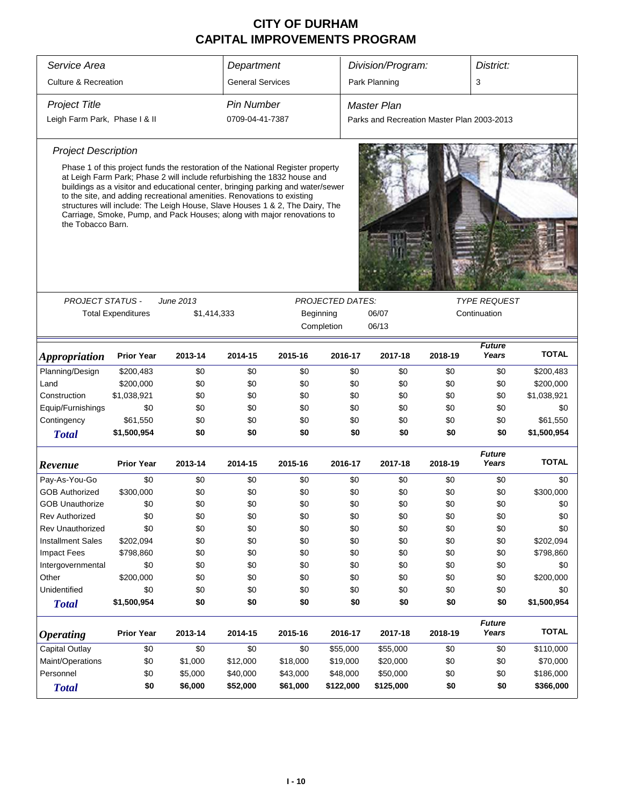| Service Area                    | Department                                                                                                                                                                                                                                                                                                                                                                                                                                                                           |             |                         | Division/Program: |                         | District:                                  |         |                        |              |
|---------------------------------|--------------------------------------------------------------------------------------------------------------------------------------------------------------------------------------------------------------------------------------------------------------------------------------------------------------------------------------------------------------------------------------------------------------------------------------------------------------------------------------|-------------|-------------------------|-------------------|-------------------------|--------------------------------------------|---------|------------------------|--------------|
| <b>Culture &amp; Recreation</b> |                                                                                                                                                                                                                                                                                                                                                                                                                                                                                      |             | <b>General Services</b> |                   |                         | Park Planning                              |         | 3                      |              |
| <b>Project Title</b>            |                                                                                                                                                                                                                                                                                                                                                                                                                                                                                      |             | <b>Pin Number</b>       |                   |                         | <b>Master Plan</b>                         |         |                        |              |
| Leigh Farm Park, Phase I & II   |                                                                                                                                                                                                                                                                                                                                                                                                                                                                                      |             | 0709-04-41-7387         |                   |                         | Parks and Recreation Master Plan 2003-2013 |         |                        |              |
| <b>Project Description</b>      |                                                                                                                                                                                                                                                                                                                                                                                                                                                                                      |             |                         |                   |                         |                                            |         |                        |              |
| the Tobacco Barn.               | Phase 1 of this project funds the restoration of the National Register property<br>at Leigh Farm Park; Phase 2 will include refurbishing the 1832 house and<br>buildings as a visitor and educational center, bringing parking and water/sewer<br>to the site, and adding recreational amenities. Renovations to existing<br>structures will include: The Leigh House, Slave Houses 1 & 2, The Dairy, The<br>Carriage, Smoke, Pump, and Pack Houses; along with major renovations to |             |                         |                   |                         |                                            |         |                        |              |
| <b>PROJECT STATUS -</b>         |                                                                                                                                                                                                                                                                                                                                                                                                                                                                                      | June 2013   |                         |                   | <b>PROJECTED DATES:</b> |                                            |         | <b>TYPE REQUEST</b>    |              |
|                                 | <b>Total Expenditures</b>                                                                                                                                                                                                                                                                                                                                                                                                                                                            | \$1,414,333 |                         | Beginning         |                         | 06/07<br>Continuation                      |         |                        |              |
|                                 |                                                                                                                                                                                                                                                                                                                                                                                                                                                                                      |             |                         |                   | Completion              | 06/13                                      |         |                        |              |
| <i><b>Appropriation</b></i>     | <b>Prior Year</b>                                                                                                                                                                                                                                                                                                                                                                                                                                                                    | 2013-14     | 2014-15                 | 2015-16           | 2016-17                 | 2017-18                                    | 2018-19 | <b>Future</b><br>Years | <b>TOTAL</b> |
| Planning/Design                 | \$200,483                                                                                                                                                                                                                                                                                                                                                                                                                                                                            | \$0         | \$0                     | \$0               | \$0                     | \$0                                        | \$0     | \$0                    | \$200,483    |
| Land                            | \$200,000                                                                                                                                                                                                                                                                                                                                                                                                                                                                            | \$0         | \$0                     | \$0               | \$0                     | \$0                                        | \$0     | \$0                    | \$200,000    |
| Construction                    | \$1,038,921                                                                                                                                                                                                                                                                                                                                                                                                                                                                          | \$0         | \$0                     | \$0               | \$0                     | \$0                                        | \$0     | \$0                    | \$1,038,921  |
| Equip/Furnishings               | \$0                                                                                                                                                                                                                                                                                                                                                                                                                                                                                  | \$0         | \$0                     | \$0               | \$0                     | \$0                                        | \$0     | \$0                    | \$0          |
| Contingency                     | \$61,550                                                                                                                                                                                                                                                                                                                                                                                                                                                                             | \$0         | \$0                     | \$0               | \$0                     | \$0                                        | \$0     | \$0                    | \$61,550     |
| <b>Total</b>                    | \$1,500,954                                                                                                                                                                                                                                                                                                                                                                                                                                                                          | \$0         | \$0                     | \$0               | \$0                     | \$0                                        | \$0     | \$0                    | \$1,500,954  |
| Revenue                         | <b>Prior Year</b>                                                                                                                                                                                                                                                                                                                                                                                                                                                                    | 2013-14     | 2014-15                 | 2015-16           | 2016-17                 | 2017-18                                    | 2018-19 | <b>Future</b><br>Years | <b>TOTAL</b> |
| Pay-As-You-Go                   | \$0                                                                                                                                                                                                                                                                                                                                                                                                                                                                                  | \$0         | \$0                     | \$0               | \$0                     | \$0                                        | \$0     | \$0                    | \$0          |
| <b>GOB Authorized</b>           | \$300,000                                                                                                                                                                                                                                                                                                                                                                                                                                                                            | \$0         | \$0                     | \$0               | \$0                     | \$0                                        | \$0     | \$0                    | \$300,000    |
| <b>GOB Unauthorize</b>          | \$0                                                                                                                                                                                                                                                                                                                                                                                                                                                                                  | \$0         | \$0                     | \$0               | \$0                     | \$0                                        | \$0     | \$0                    | \$0          |
| Rev Authorized                  | \$0                                                                                                                                                                                                                                                                                                                                                                                                                                                                                  | \$0         | \$0                     | \$0               | \$0                     | \$0                                        | \$0     | \$0                    | \$0          |
| Rev Unauthorized                | \$0                                                                                                                                                                                                                                                                                                                                                                                                                                                                                  | \$0         | \$0                     | \$0               | \$0                     | \$0                                        | \$0     | \$0                    | \$0          |
| <b>Installment Sales</b>        | \$202,094                                                                                                                                                                                                                                                                                                                                                                                                                                                                            | \$0         | \$0                     | \$0               | \$0                     | \$0                                        | \$0     | \$0                    | \$202,094    |
| <b>Impact Fees</b>              | \$798,860                                                                                                                                                                                                                                                                                                                                                                                                                                                                            | \$0         | \$0                     | \$0               | \$0                     | \$0                                        | \$0     | \$0                    | \$798,860    |
| Intergovernmental               | \$0                                                                                                                                                                                                                                                                                                                                                                                                                                                                                  | \$0         | \$0                     | \$0               | \$0                     | \$0                                        | \$0     | \$0                    | \$0          |
| Other                           | \$200,000                                                                                                                                                                                                                                                                                                                                                                                                                                                                            | \$0         | \$0                     | \$0               | \$0                     | \$0                                        | \$0     | \$0                    | \$200,000    |
| Unidentified                    | \$0                                                                                                                                                                                                                                                                                                                                                                                                                                                                                  | \$0         | \$0                     | \$0               | \$0                     | \$0                                        | \$0     | \$0                    | \$0          |
| <b>Total</b>                    | \$1,500,954                                                                                                                                                                                                                                                                                                                                                                                                                                                                          | \$0         | \$0                     | \$0               | \$0                     | \$0                                        | \$0     | \$0                    | \$1,500,954  |
| <b>Operating</b>                | <b>Prior Year</b>                                                                                                                                                                                                                                                                                                                                                                                                                                                                    | 2013-14     | 2014-15                 | 2015-16           | 2016-17                 | 2017-18                                    | 2018-19 | <b>Future</b><br>Years | <b>TOTAL</b> |
| Capital Outlay                  | \$0                                                                                                                                                                                                                                                                                                                                                                                                                                                                                  | \$0         | \$0                     | \$0               | \$55,000                | \$55,000                                   | \$0     | \$0                    | \$110,000    |
| Maint/Operations                | \$0                                                                                                                                                                                                                                                                                                                                                                                                                                                                                  | \$1,000     | \$12,000                | \$18,000          | \$19,000                | \$20,000                                   | \$0     | \$0                    | \$70,000     |
| Personnel                       | \$0                                                                                                                                                                                                                                                                                                                                                                                                                                                                                  | \$5,000     | \$40,000                | \$43,000          | \$48,000                | \$50,000                                   | \$0     | \$0                    | \$186,000    |
| <b>Total</b>                    | \$0                                                                                                                                                                                                                                                                                                                                                                                                                                                                                  | \$6,000     | \$52,000                | \$61,000          | \$122,000               | \$125,000                                  | \$0     | \$0                    | \$366,000    |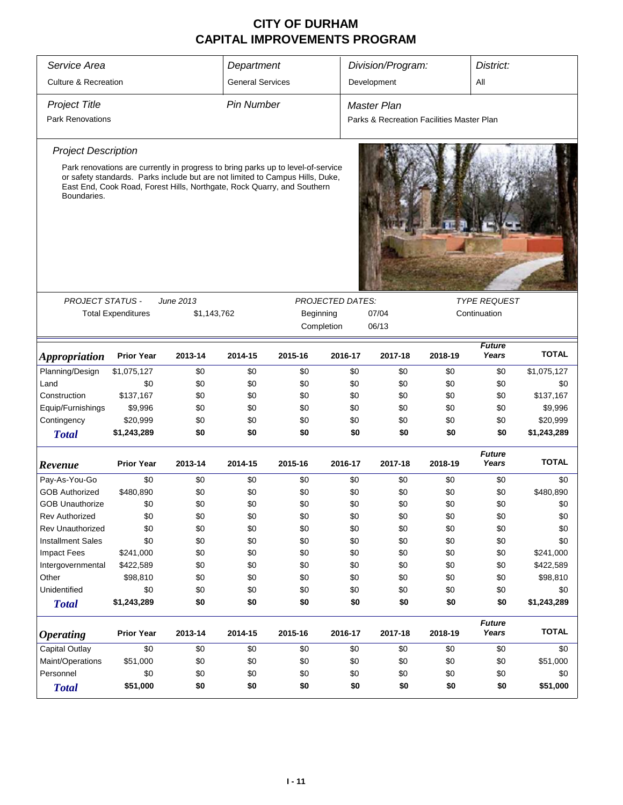|                                 |                                                                                                                                                          |             |                         |                                                                                  | Division/Program:       |                                           |         |                        |              |
|---------------------------------|----------------------------------------------------------------------------------------------------------------------------------------------------------|-------------|-------------------------|----------------------------------------------------------------------------------|-------------------------|-------------------------------------------|---------|------------------------|--------------|
| Service Area                    |                                                                                                                                                          |             | Department              |                                                                                  |                         |                                           |         | District:              |              |
| <b>Culture &amp; Recreation</b> |                                                                                                                                                          |             | <b>General Services</b> |                                                                                  |                         | Development                               |         | All                    |              |
| <b>Project Title</b>            |                                                                                                                                                          |             | <b>Pin Number</b>       |                                                                                  |                         | Master Plan                               |         |                        |              |
| <b>Park Renovations</b>         |                                                                                                                                                          |             |                         |                                                                                  |                         | Parks & Recreation Facilities Master Plan |         |                        |              |
| <b>Project Description</b>      |                                                                                                                                                          |             |                         |                                                                                  |                         |                                           |         |                        |              |
|                                 |                                                                                                                                                          |             |                         | Park renovations are currently in progress to bring parks up to level-of-service |                         |                                           |         |                        |              |
| Boundaries.                     | or safety standards. Parks include but are not limited to Campus Hills, Duke,<br>East End, Cook Road, Forest Hills, Northgate, Rock Quarry, and Southern |             |                         |                                                                                  |                         |                                           |         |                        |              |
|                                 |                                                                                                                                                          |             |                         |                                                                                  |                         |                                           |         |                        |              |
|                                 |                                                                                                                                                          |             |                         |                                                                                  |                         |                                           |         |                        |              |
|                                 |                                                                                                                                                          |             |                         |                                                                                  |                         |                                           |         |                        |              |
| <b>PROJECT STATUS -</b>         |                                                                                                                                                          | June 2013   |                         |                                                                                  | <b>PROJECTED DATES:</b> |                                           |         | <b>TYPE REQUEST</b>    |              |
|                                 | <b>Total Expenditures</b>                                                                                                                                | \$1,143,762 |                         | Beginning                                                                        |                         | 07/04                                     |         |                        |              |
|                                 |                                                                                                                                                          |             |                         | Completion                                                                       |                         | 06/13                                     |         |                        |              |
| <i><b>Appropriation</b></i>     | <b>Prior Year</b>                                                                                                                                        | 2013-14     | 2014-15                 | 2015-16                                                                          | 2016-17                 | 2017-18                                   | 2018-19 | <b>Future</b><br>Years | <b>TOTAL</b> |
| Planning/Design                 | \$1,075,127                                                                                                                                              | \$0         | \$0                     | \$0                                                                              | \$0                     | \$0                                       | \$0     | \$0                    | \$1,075,127  |
| Land                            | \$0                                                                                                                                                      | \$0         | \$0                     | \$0                                                                              | \$0                     | \$0                                       | \$0     | \$0                    | \$0          |
| Construction                    | \$137,167                                                                                                                                                | \$0         | \$0                     | \$0                                                                              | \$0                     | \$0                                       | \$0     | \$0                    | \$137,167    |
| Equip/Furnishings               | \$9,996                                                                                                                                                  | \$0         | \$0                     | \$0                                                                              | \$0                     | \$0                                       | \$0     | \$0                    | \$9,996      |
| Contingency                     | \$20,999                                                                                                                                                 | \$0         | \$0                     | \$0                                                                              | \$0                     | \$0                                       | \$0     | \$0                    | \$20,999     |
| <b>Total</b>                    | \$1,243,289                                                                                                                                              | \$0         | \$0                     | \$0                                                                              | \$0                     | \$0                                       | \$0     | \$0                    | \$1,243,289  |
| Revenue                         | <b>Prior Year</b>                                                                                                                                        | 2013-14     | 2014-15                 | 2015-16                                                                          | 2016-17                 | 2017-18                                   | 2018-19 | <b>Future</b><br>Years | <b>TOTAL</b> |
| Pay-As-You-Go                   | \$0                                                                                                                                                      | \$0         | \$0                     | \$0                                                                              | \$0                     | \$0                                       | \$0     | \$0                    | \$0          |
| <b>GOB Authorized</b>           | \$480,890                                                                                                                                                | \$0         | \$0                     | \$0                                                                              | \$0                     | \$0                                       | \$0     | \$0                    | \$480,890    |
| <b>GOB Unauthorize</b>          | \$0                                                                                                                                                      | \$0         | \$0                     | \$0                                                                              | \$0                     | \$0                                       | \$0     | \$0                    | \$0          |
| <b>Rev Authorized</b>           | \$0                                                                                                                                                      | \$0         | \$0                     | \$0                                                                              | \$0                     | \$0                                       | \$0     | \$0                    | \$0          |
| Rev Unauthorized                | \$0                                                                                                                                                      | \$0         | \$0                     | \$0                                                                              | \$0                     | \$0                                       | \$0     | \$0                    | \$0          |
| <b>Installment Sales</b>        | \$0                                                                                                                                                      | \$0         | \$0                     | \$0                                                                              | \$0                     | \$0                                       | \$0     | \$0                    | \$0          |
| <b>Impact Fees</b>              | \$241,000                                                                                                                                                | \$0         | \$0                     | \$0                                                                              | \$0                     | \$0                                       | \$0     | \$0                    | \$241,000    |
| Intergovernmental               | \$422,589                                                                                                                                                | \$0         | \$0                     | \$0                                                                              | \$0                     | \$0                                       | \$0     | \$0                    | \$422,589    |
| Other                           | \$98,810                                                                                                                                                 | \$0         | \$0                     | \$0                                                                              | \$0                     | \$0                                       | \$0     | \$0                    | \$98,810     |
| Unidentified                    | \$0                                                                                                                                                      | \$0         | \$0                     | \$0                                                                              | \$0                     | \$0                                       | \$0     | \$0                    | \$0          |
| <b>Total</b>                    | \$1,243,289                                                                                                                                              | \$0         | \$0                     | \$0                                                                              | \$0                     | \$0                                       | \$0     | \$0                    | \$1,243,289  |
| <b>Operating</b>                | <b>Prior Year</b>                                                                                                                                        | 2013-14     | 2014-15                 | 2015-16                                                                          | 2016-17                 | 2017-18                                   | 2018-19 | <b>Future</b><br>Years | <b>TOTAL</b> |
| <b>Capital Outlay</b>           | \$0                                                                                                                                                      | \$0         | \$0                     | \$0                                                                              | \$0                     | \$0                                       | \$0     | \$0                    | \$0          |
| Maint/Operations                | \$51,000                                                                                                                                                 | \$0         | \$0                     | \$0                                                                              | \$0                     | \$0                                       | \$0     | \$0                    | \$51,000     |
| Personnel                       | \$0                                                                                                                                                      | \$0         | \$0                     | \$0                                                                              | \$0                     | \$0                                       | \$0     | \$0                    | \$0          |
| <b>Total</b>                    | \$51,000                                                                                                                                                 | \$0         | \$0                     | \$0                                                                              | \$0                     | \$0                                       | \$0     | \$0                    | \$51,000     |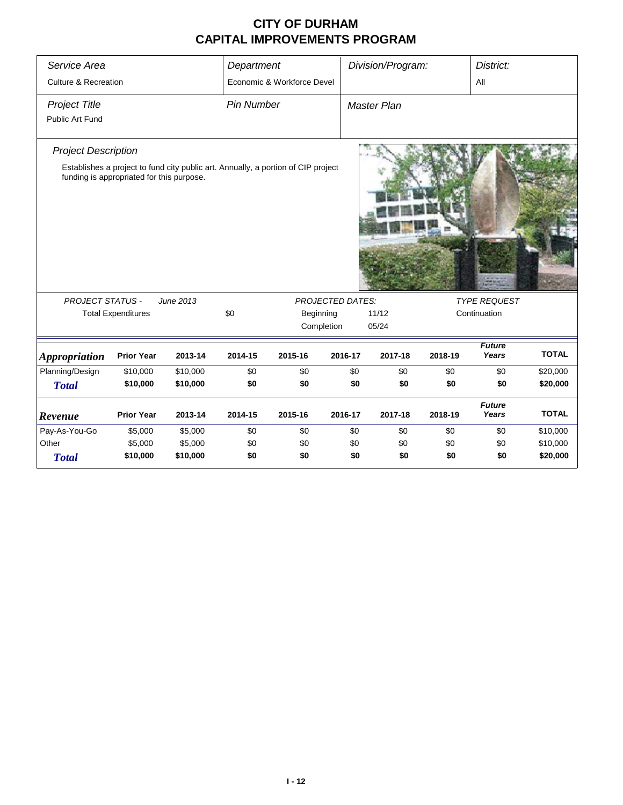| Service Area                    |                                           |           | Department        |                                                                                   |         | Division/Program:                              |              | District:              |              |  |
|---------------------------------|-------------------------------------------|-----------|-------------------|-----------------------------------------------------------------------------------|---------|------------------------------------------------|--------------|------------------------|--------------|--|
| <b>Culture &amp; Recreation</b> |                                           |           |                   | Economic & Workforce Devel                                                        |         |                                                |              | All                    |              |  |
| <b>Project Title</b>            |                                           |           | <b>Pin Number</b> |                                                                                   |         | <b>Master Plan</b>                             |              |                        |              |  |
| Public Art Fund                 |                                           |           |                   |                                                                                   |         |                                                |              |                        |              |  |
| <b>Project Description</b>      |                                           |           |                   |                                                                                   |         |                                                |              |                        |              |  |
|                                 | funding is appropriated for this purpose. |           |                   | Establishes a project to fund city public art. Annually, a portion of CIP project |         |                                                |              |                        |              |  |
| <b>PROJECT STATUS -</b>         |                                           | June 2013 |                   |                                                                                   |         | <b>PROJECTED DATES:</b><br><b>TYPE REQUEST</b> |              |                        |              |  |
|                                 | <b>Total Expenditures</b>                 |           | \$0               | Beginning                                                                         |         | 11/12                                          | Continuation |                        |              |  |
|                                 |                                           |           |                   | Completion                                                                        |         | 05/24                                          |              |                        |              |  |
| <i><b>Appropriation</b></i>     | <b>Prior Year</b>                         | 2013-14   | 2014-15           | 2015-16                                                                           | 2016-17 | 2017-18                                        | 2018-19      | <b>Future</b><br>Years | <b>TOTAL</b> |  |
| Planning/Design                 | \$10,000                                  | \$10,000  | \$0               | \$0                                                                               | \$0     | \$0                                            | \$0          | \$0                    | \$20,000     |  |
| <b>Total</b>                    | \$10,000                                  | \$10,000  | \$0               | \$0                                                                               | \$0     | \$0                                            | \$0          | \$0                    | \$20,000     |  |
| Revenue                         | <b>Prior Year</b>                         | 2013-14   | 2014-15           | 2015-16                                                                           | 2016-17 | 2017-18                                        | 2018-19      | <b>Future</b><br>Years | <b>TOTAL</b> |  |
| Pay-As-You-Go                   | \$5,000                                   | \$5,000   | \$0               | \$0                                                                               | \$0     | \$0                                            | \$0          | \$0                    | \$10,000     |  |
| Other                           | \$5,000                                   | \$5,000   | \$0               | \$0                                                                               | \$0     | \$0                                            | \$0          | \$0                    | \$10,000     |  |
| <b>Total</b>                    | \$10,000                                  | \$10,000  | \$0               | \$0                                                                               | \$0     | \$0                                            | \$0          | \$0                    | \$20,000     |  |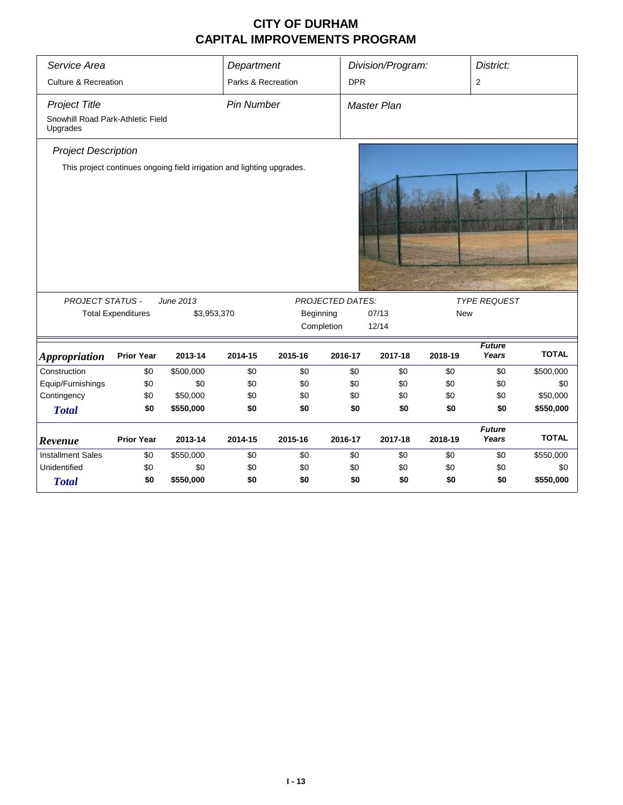| Service Area                                  |                           |                                                                        | Department         |           |                         | Division/Program:  |            | District:              |              |
|-----------------------------------------------|---------------------------|------------------------------------------------------------------------|--------------------|-----------|-------------------------|--------------------|------------|------------------------|--------------|
| <b>Culture &amp; Recreation</b>               |                           |                                                                        | Parks & Recreation |           | <b>DPR</b>              |                    |            | 2                      |              |
| <b>Project Title</b>                          |                           |                                                                        | <b>Pin Number</b>  |           |                         | <b>Master Plan</b> |            |                        |              |
| Snowhill Road Park-Athletic Field<br>Upgrades |                           |                                                                        |                    |           |                         |                    |            |                        |              |
| <b>Project Description</b>                    |                           |                                                                        |                    |           |                         |                    |            |                        |              |
|                                               |                           | This project continues ongoing field irrigation and lighting upgrades. |                    |           |                         |                    |            |                        |              |
|                                               |                           |                                                                        |                    |           |                         |                    |            |                        |              |
|                                               |                           |                                                                        |                    |           |                         |                    |            |                        |              |
|                                               |                           |                                                                        |                    |           |                         |                    |            |                        |              |
|                                               |                           |                                                                        |                    |           |                         |                    |            |                        |              |
|                                               |                           |                                                                        |                    |           |                         |                    |            |                        |              |
|                                               |                           |                                                                        |                    |           |                         |                    |            |                        |              |
|                                               |                           |                                                                        |                    |           |                         |                    |            |                        |              |
|                                               |                           |                                                                        |                    |           |                         |                    |            |                        |              |
| <b>PROJECT STATUS -</b>                       |                           | June 2013                                                              |                    |           | <b>PROJECTED DATES:</b> | 07/13              |            | <b>TYPE REQUEST</b>    |              |
|                                               | <b>Total Expenditures</b> | \$3,953,370                                                            |                    | Beginning |                         |                    | <b>New</b> |                        |              |
|                                               |                           |                                                                        |                    |           | Completion              | 12/14              |            |                        |              |
| <b>Appropriation</b>                          | <b>Prior Year</b>         | 2013-14                                                                | 2014-15            | 2015-16   | 2016-17                 | 2017-18            | 2018-19    | <b>Future</b><br>Years | <b>TOTAL</b> |
| Construction                                  | \$0                       | \$500,000                                                              | \$0                | \$0       | \$0                     | \$0                | \$0        | \$0                    | \$500,000    |
| Equip/Furnishings                             | \$0                       | \$0                                                                    | \$0                | \$0       | \$0                     | \$0                | \$0        | \$0                    | \$0          |
| Contingency                                   | \$0                       | \$50,000                                                               | \$0                | \$0       | \$0                     | \$0                | \$0        | \$0                    | \$50,000     |
| <b>Total</b>                                  | \$0                       | \$550,000                                                              | \$0                | \$0       | \$0                     | \$0                | \$0        | \$0                    | \$550,000    |
|                                               |                           |                                                                        |                    |           |                         |                    |            | <b>Future</b>          |              |
| Revenue                                       | <b>Prior Year</b>         | 2013-14                                                                | 2014-15            | 2015-16   | 2016-17                 | 2017-18            | 2018-19    | Years                  | <b>TOTAL</b> |
| <b>Installment Sales</b>                      | \$0                       | \$550,000                                                              | \$0                | \$0       | \$0                     | \$0                | \$0        | \$0                    | \$550,000    |
| Unidentified                                  | \$0                       | \$0                                                                    | \$0                | \$0       | \$0                     | \$0                | \$0        | \$0                    | \$0          |
| <b>Total</b>                                  | \$0                       | \$550,000                                                              | \$0                | \$0       | \$0                     | \$0                | \$0        | \$0                    | \$550,000    |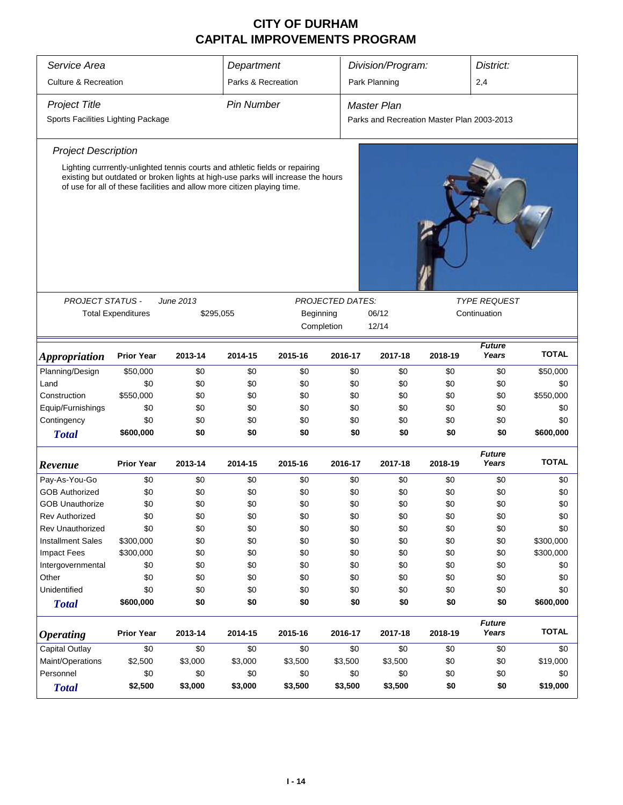| Service Area                       |                                                                                                                                                             | Department |                    |           |                  | Division/Program:                          |                | District:                           |                        |              |  |
|------------------------------------|-------------------------------------------------------------------------------------------------------------------------------------------------------------|------------|--------------------|-----------|------------------|--------------------------------------------|----------------|-------------------------------------|------------------------|--------------|--|
| <b>Culture &amp; Recreation</b>    |                                                                                                                                                             |            | Parks & Recreation |           |                  |                                            | Park Planning  |                                     | 2,4                    |              |  |
|                                    |                                                                                                                                                             |            |                    |           |                  |                                            |                |                                     |                        |              |  |
| <b>Project Title</b>               |                                                                                                                                                             |            | <b>Pin Number</b>  |           |                  | <b>Master Plan</b>                         |                |                                     |                        |              |  |
| Sports Facilities Lighting Package |                                                                                                                                                             |            |                    |           |                  | Parks and Recreation Master Plan 2003-2013 |                |                                     |                        |              |  |
| <b>Project Description</b>         |                                                                                                                                                             |            |                    |           |                  |                                            |                |                                     |                        |              |  |
|                                    | Lighting currrently-unlighted tennis courts and athletic fields or repairing                                                                                |            |                    |           |                  |                                            |                |                                     |                        |              |  |
|                                    | existing but outdated or broken lights at high-use parks will increase the hours<br>of use for all of these facilities and allow more citizen playing time. |            |                    |           |                  |                                            |                |                                     |                        |              |  |
|                                    |                                                                                                                                                             |            |                    |           |                  |                                            |                |                                     |                        |              |  |
| PROJECT STATUS -                   |                                                                                                                                                             | June 2013  |                    |           | PROJECTED DATES: |                                            |                | <b>TYPE REQUEST</b><br>Continuation |                        |              |  |
|                                    | <b>Total Expenditures</b>                                                                                                                                   | \$295,055  |                    | Beginning | Completion       |                                            | 06/12<br>12/14 |                                     |                        |              |  |
|                                    |                                                                                                                                                             |            |                    |           |                  |                                            |                |                                     |                        |              |  |
| <i><b>Appropriation</b></i>        | <b>Prior Year</b>                                                                                                                                           | 2013-14    | 2014-15            | 2015-16   | 2016-17          |                                            | 2017-18        | 2018-19                             | <b>Future</b><br>Years | <b>TOTAL</b> |  |
| Planning/Design                    | \$50,000                                                                                                                                                    | \$0        | \$0                | \$0       |                  | \$0                                        | \$0            | \$0                                 | \$0                    | \$50,000     |  |
| Land                               | \$0                                                                                                                                                         | \$0        | \$0                | \$0       |                  | \$0                                        | \$0            | \$0                                 | \$0                    | \$0          |  |
| Construction                       | \$550,000                                                                                                                                                   | \$0        | \$0                | \$0       |                  | \$0                                        | \$0            | \$0                                 | \$0                    | \$550,000    |  |
| Equip/Furnishings                  | \$0                                                                                                                                                         | \$0        | \$0                | \$0       |                  | \$0                                        | \$0            | \$0                                 | \$0                    | \$0          |  |
| Contingency                        | \$0                                                                                                                                                         | \$0        | \$0                | \$0       |                  | \$0                                        | \$0            | \$0                                 | \$0                    | \$0          |  |
| <b>Total</b>                       | \$600,000                                                                                                                                                   | \$0        | \$0                | \$0       |                  | \$0                                        | \$0            | \$0                                 | \$0                    | \$600,000    |  |
| Revenue                            | <b>Prior Year</b>                                                                                                                                           | 2013-14    | 2014-15            | 2015-16   | 2016-17          |                                            | 2017-18        | 2018-19                             | <b>Future</b><br>Years | <b>TOTAL</b> |  |
| Pay-As-You-Go                      | \$0                                                                                                                                                         | \$0        | \$0                | \$0       |                  | \$0                                        | \$0            | \$0                                 | \$0                    | \$0          |  |
| <b>GOB Authorized</b>              | \$0                                                                                                                                                         | \$0        | \$0                | \$0       |                  | \$0                                        | \$0            | \$0                                 | \$0                    | \$0          |  |
| <b>GOB Unauthorize</b>             | \$0                                                                                                                                                         | \$0        | \$0                | \$0       |                  | \$0                                        | \$0            | \$0                                 | \$0                    | \$0          |  |
| <b>Rev Authorized</b>              | \$0                                                                                                                                                         | \$0        | \$0                | \$0       |                  | \$0                                        | \$0            | \$0                                 | \$0                    | \$0          |  |
| Rev Unauthorized                   | \$0                                                                                                                                                         | \$0        | \$0                | \$0       |                  | \$0                                        | \$0            | \$0                                 | \$0                    | \$0          |  |
| <b>Installment Sales</b>           | \$300,000                                                                                                                                                   | \$0        | \$0                | \$0       |                  | \$0                                        | \$0            | \$0                                 | \$0                    | \$300,000    |  |
| <b>Impact Fees</b>                 | \$300,000                                                                                                                                                   | \$0        | \$0                | \$0       |                  | \$0                                        | \$0            | \$0                                 | \$0                    | \$300,000    |  |
| Intergovernmental                  | \$0                                                                                                                                                         | \$0        | \$0                | \$0       |                  | \$0                                        | \$0            | \$0                                 | \$0                    | \$0          |  |
| Other                              | \$0                                                                                                                                                         | \$0        | \$0                | \$0       |                  | \$0                                        | \$0            | \$0                                 | \$0                    | \$0          |  |
| Unidentified                       | \$0                                                                                                                                                         | \$0        | \$0                | \$0       |                  | \$0                                        | \$0            | \$0                                 | \$0                    | \$0          |  |
| <b>Total</b>                       | \$600,000                                                                                                                                                   | \$0        | \$0                | \$0       |                  | \$0                                        | \$0            | \$0                                 | \$0                    | \$600,000    |  |
| <b>Operating</b>                   | <b>Prior Year</b>                                                                                                                                           | 2013-14    | 2014-15            | 2015-16   | 2016-17          |                                            | 2017-18        | 2018-19                             | <b>Future</b><br>Years | <b>TOTAL</b> |  |
| Capital Outlay                     | \$0                                                                                                                                                         | \$0        | \$0                | \$0       |                  | \$0                                        | \$0            | \$0                                 | \$0                    | \$0          |  |
| Maint/Operations                   | \$2,500                                                                                                                                                     | \$3,000    | \$3,000            | \$3,500   | \$3,500          |                                            | \$3,500        | \$0                                 | \$0                    | \$19,000     |  |
| Personnel                          | \$0                                                                                                                                                         | \$0        | \$0                | \$0       |                  | \$0                                        | \$0            | \$0                                 | \$0                    | \$0          |  |
| <b>Total</b>                       | \$2,500                                                                                                                                                     | \$3,000    | \$3,000            | \$3,500   | \$3,500          |                                            | \$3,500        | \$0                                 | \$0                    | \$19,000     |  |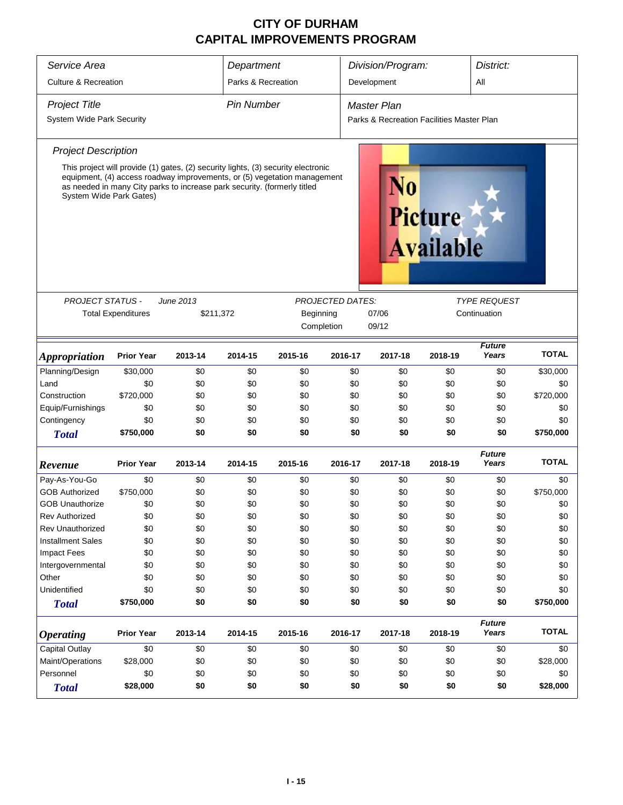| Department<br>Division/Program:<br><b>Culture &amp; Recreation</b><br>Parks & Recreation<br>Development<br>All<br><b>Pin Number</b><br><b>Project Title</b><br><b>Master Plan</b><br>System Wide Park Security<br>Parks & Recreation Facilities Master Plan<br><b>Project Description</b><br>This project will provide (1) gates, (2) security lights, (3) security electronic<br>equipment, (4) access roadway improvements, or (5) vegetation management<br>as needed in many City parks to increase park security. (formerly titled<br>System Wide Park Gates)<br><b>Picture</b><br><b>Available</b><br><b>PROJECT STATUS -</b><br><b>TYPE REQUEST</b><br><b>June 2013</b><br><b>PROJECTED DATES:</b><br><b>Total Expenditures</b><br>\$211,372<br>07/06<br>Continuation<br>Beginning<br>09/12<br>Completion<br><b>Future</b><br><b>TOTAL</b><br>Years<br><b>Prior Year</b><br>2013-14<br>2014-15<br>2015-16<br>2016-17<br>2017-18<br>2018-19<br><i><b>Appropriation</b></i><br>Planning/Design<br>\$30,000<br>\$0<br>\$0<br>\$0<br>\$0<br>\$0<br>\$0<br>\$0<br>\$30,000<br>Land<br>\$0<br>\$0<br>\$0<br>\$0<br>\$0<br>\$0<br>\$0<br>\$0<br>\$0<br>\$720,000<br>\$0<br>\$0<br>\$0<br>\$0<br>\$720,000<br>Construction<br>\$0<br>\$0<br>\$0<br>Equip/Furnishings<br>\$0<br>\$0<br>\$0<br>\$0<br>\$0<br>\$0<br>\$0<br>\$0<br>\$0<br>Contingency<br>\$0<br>\$0<br>\$0<br>\$0<br>\$0<br>\$0<br>\$0<br>\$0<br>\$0<br>\$0<br>\$0<br>\$0<br>\$0<br>\$0<br>\$750,000<br>\$750,000<br>\$0<br>\$0<br><b>Total</b><br><b>Future</b><br><b>TOTAL</b><br><b>Prior Year</b><br>Years<br>2013-14<br>2014-15<br>2015-16<br>2016-17<br>2017-18<br>2018-19<br>Pay-As-You-Go<br>\$0<br>\$0<br>\$0<br>\$0<br>\$0<br>\$0<br>\$0<br>\$0<br>\$0<br><b>GOB Authorized</b><br>\$750,000<br>\$0<br>\$0<br>\$0<br>\$0<br>\$0<br>\$0<br>\$0<br>\$750,000<br>\$0<br>\$0<br>\$0<br>\$0<br>\$0<br>\$0<br>\$0<br>\$0<br>\$0<br><b>GOB Unauthorize</b><br>\$0<br>\$0<br>\$0<br>\$0<br>\$0<br>\$0<br><b>Rev Authorized</b><br>\$0<br>\$0<br>\$0<br>\$0<br>\$0<br>\$0<br>\$0<br>\$0<br>\$0<br>\$0<br>\$0<br>\$0<br><b>Rev Unauthorized</b><br>\$0<br>\$0<br>\$0<br>\$0<br>\$0<br>\$0<br>\$0<br><b>Installment Sales</b><br>\$0<br>\$0<br>\$0<br>\$0<br>\$0<br>\$0<br>\$0<br><b>Impact Fees</b><br>\$0<br>\$0<br>\$0<br>\$0<br>\$0<br>\$0<br>\$0<br>\$0<br>\$0<br>Intergovernmental<br>\$0<br>\$0<br>\$0<br>\$0<br>\$0<br>\$0<br>\$0<br>\$0<br>\$0<br>Other<br>\$0<br>\$0<br>\$0<br>\$0<br>Unidentified<br>\$0<br>\$0<br>\$0<br>\$0<br>\$0<br>\$0<br>\$0<br>\$0<br>\$0<br>\$0<br>\$0<br>\$0<br>\$0<br>\$0<br>\$750,000<br>\$0<br>\$0<br>\$750,000<br><b>Total</b><br><b>Future</b><br><b>TOTAL</b><br>Years<br><b>Prior Year</b><br>2016-17<br>2013-14<br>2014-15<br>2015-16<br>2017-18<br>2018-19<br><b>Operating</b><br>Capital Outlay<br>\$0<br>\$0<br>\$0<br>\$0<br>\$0<br>\$0<br>\$0<br>\$0<br>\$0<br>Maint/Operations<br>\$0<br>\$28,000<br>\$0<br>\$0<br>\$0<br>\$0<br>\$0<br>\$0<br>\$28,000<br>Personnel<br>\$0<br>\$0<br>\$0<br>\$0<br>\$0<br>\$0<br>\$0<br>\$0<br>\$0 |              |          |     |     |     |     | District: |     |     |          |  |  |
|-------------------------------------------------------------------------------------------------------------------------------------------------------------------------------------------------------------------------------------------------------------------------------------------------------------------------------------------------------------------------------------------------------------------------------------------------------------------------------------------------------------------------------------------------------------------------------------------------------------------------------------------------------------------------------------------------------------------------------------------------------------------------------------------------------------------------------------------------------------------------------------------------------------------------------------------------------------------------------------------------------------------------------------------------------------------------------------------------------------------------------------------------------------------------------------------------------------------------------------------------------------------------------------------------------------------------------------------------------------------------------------------------------------------------------------------------------------------------------------------------------------------------------------------------------------------------------------------------------------------------------------------------------------------------------------------------------------------------------------------------------------------------------------------------------------------------------------------------------------------------------------------------------------------------------------------------------------------------------------------------------------------------------------------------------------------------------------------------------------------------------------------------------------------------------------------------------------------------------------------------------------------------------------------------------------------------------------------------------------------------------------------------------------------------------------------------------------------------------------------------------------------------------------------------------------------------------------------------------------------------------------------------------------------------------------------------------------------------------------------------------------------------------------------------------------------------------------------------------------------------------------------------------------------------------------------------------------------------------------------------------------------------------------------------|--------------|----------|-----|-----|-----|-----|-----------|-----|-----|----------|--|--|
|                                                                                                                                                                                                                                                                                                                                                                                                                                                                                                                                                                                                                                                                                                                                                                                                                                                                                                                                                                                                                                                                                                                                                                                                                                                                                                                                                                                                                                                                                                                                                                                                                                                                                                                                                                                                                                                                                                                                                                                                                                                                                                                                                                                                                                                                                                                                                                                                                                                                                                                                                                                                                                                                                                                                                                                                                                                                                                                                                                                                                                                 | Service Area |          |     |     |     |     |           |     |     |          |  |  |
|                                                                                                                                                                                                                                                                                                                                                                                                                                                                                                                                                                                                                                                                                                                                                                                                                                                                                                                                                                                                                                                                                                                                                                                                                                                                                                                                                                                                                                                                                                                                                                                                                                                                                                                                                                                                                                                                                                                                                                                                                                                                                                                                                                                                                                                                                                                                                                                                                                                                                                                                                                                                                                                                                                                                                                                                                                                                                                                                                                                                                                                 |              |          |     |     |     |     |           |     |     |          |  |  |
|                                                                                                                                                                                                                                                                                                                                                                                                                                                                                                                                                                                                                                                                                                                                                                                                                                                                                                                                                                                                                                                                                                                                                                                                                                                                                                                                                                                                                                                                                                                                                                                                                                                                                                                                                                                                                                                                                                                                                                                                                                                                                                                                                                                                                                                                                                                                                                                                                                                                                                                                                                                                                                                                                                                                                                                                                                                                                                                                                                                                                                                 |              |          |     |     |     |     |           |     |     |          |  |  |
|                                                                                                                                                                                                                                                                                                                                                                                                                                                                                                                                                                                                                                                                                                                                                                                                                                                                                                                                                                                                                                                                                                                                                                                                                                                                                                                                                                                                                                                                                                                                                                                                                                                                                                                                                                                                                                                                                                                                                                                                                                                                                                                                                                                                                                                                                                                                                                                                                                                                                                                                                                                                                                                                                                                                                                                                                                                                                                                                                                                                                                                 |              |          |     |     |     |     |           |     |     |          |  |  |
|                                                                                                                                                                                                                                                                                                                                                                                                                                                                                                                                                                                                                                                                                                                                                                                                                                                                                                                                                                                                                                                                                                                                                                                                                                                                                                                                                                                                                                                                                                                                                                                                                                                                                                                                                                                                                                                                                                                                                                                                                                                                                                                                                                                                                                                                                                                                                                                                                                                                                                                                                                                                                                                                                                                                                                                                                                                                                                                                                                                                                                                 |              |          |     |     |     |     |           |     |     |          |  |  |
|                                                                                                                                                                                                                                                                                                                                                                                                                                                                                                                                                                                                                                                                                                                                                                                                                                                                                                                                                                                                                                                                                                                                                                                                                                                                                                                                                                                                                                                                                                                                                                                                                                                                                                                                                                                                                                                                                                                                                                                                                                                                                                                                                                                                                                                                                                                                                                                                                                                                                                                                                                                                                                                                                                                                                                                                                                                                                                                                                                                                                                                 |              |          |     |     |     |     |           |     |     |          |  |  |
|                                                                                                                                                                                                                                                                                                                                                                                                                                                                                                                                                                                                                                                                                                                                                                                                                                                                                                                                                                                                                                                                                                                                                                                                                                                                                                                                                                                                                                                                                                                                                                                                                                                                                                                                                                                                                                                                                                                                                                                                                                                                                                                                                                                                                                                                                                                                                                                                                                                                                                                                                                                                                                                                                                                                                                                                                                                                                                                                                                                                                                                 |              |          |     |     |     |     |           |     |     |          |  |  |
|                                                                                                                                                                                                                                                                                                                                                                                                                                                                                                                                                                                                                                                                                                                                                                                                                                                                                                                                                                                                                                                                                                                                                                                                                                                                                                                                                                                                                                                                                                                                                                                                                                                                                                                                                                                                                                                                                                                                                                                                                                                                                                                                                                                                                                                                                                                                                                                                                                                                                                                                                                                                                                                                                                                                                                                                                                                                                                                                                                                                                                                 |              |          |     |     |     |     |           |     |     |          |  |  |
|                                                                                                                                                                                                                                                                                                                                                                                                                                                                                                                                                                                                                                                                                                                                                                                                                                                                                                                                                                                                                                                                                                                                                                                                                                                                                                                                                                                                                                                                                                                                                                                                                                                                                                                                                                                                                                                                                                                                                                                                                                                                                                                                                                                                                                                                                                                                                                                                                                                                                                                                                                                                                                                                                                                                                                                                                                                                                                                                                                                                                                                 |              |          |     |     |     |     |           |     |     |          |  |  |
|                                                                                                                                                                                                                                                                                                                                                                                                                                                                                                                                                                                                                                                                                                                                                                                                                                                                                                                                                                                                                                                                                                                                                                                                                                                                                                                                                                                                                                                                                                                                                                                                                                                                                                                                                                                                                                                                                                                                                                                                                                                                                                                                                                                                                                                                                                                                                                                                                                                                                                                                                                                                                                                                                                                                                                                                                                                                                                                                                                                                                                                 |              |          |     |     |     |     |           |     |     |          |  |  |
|                                                                                                                                                                                                                                                                                                                                                                                                                                                                                                                                                                                                                                                                                                                                                                                                                                                                                                                                                                                                                                                                                                                                                                                                                                                                                                                                                                                                                                                                                                                                                                                                                                                                                                                                                                                                                                                                                                                                                                                                                                                                                                                                                                                                                                                                                                                                                                                                                                                                                                                                                                                                                                                                                                                                                                                                                                                                                                                                                                                                                                                 |              |          |     |     |     |     |           |     |     |          |  |  |
|                                                                                                                                                                                                                                                                                                                                                                                                                                                                                                                                                                                                                                                                                                                                                                                                                                                                                                                                                                                                                                                                                                                                                                                                                                                                                                                                                                                                                                                                                                                                                                                                                                                                                                                                                                                                                                                                                                                                                                                                                                                                                                                                                                                                                                                                                                                                                                                                                                                                                                                                                                                                                                                                                                                                                                                                                                                                                                                                                                                                                                                 |              |          |     |     |     |     |           |     |     |          |  |  |
|                                                                                                                                                                                                                                                                                                                                                                                                                                                                                                                                                                                                                                                                                                                                                                                                                                                                                                                                                                                                                                                                                                                                                                                                                                                                                                                                                                                                                                                                                                                                                                                                                                                                                                                                                                                                                                                                                                                                                                                                                                                                                                                                                                                                                                                                                                                                                                                                                                                                                                                                                                                                                                                                                                                                                                                                                                                                                                                                                                                                                                                 |              |          |     |     |     |     |           |     |     |          |  |  |
|                                                                                                                                                                                                                                                                                                                                                                                                                                                                                                                                                                                                                                                                                                                                                                                                                                                                                                                                                                                                                                                                                                                                                                                                                                                                                                                                                                                                                                                                                                                                                                                                                                                                                                                                                                                                                                                                                                                                                                                                                                                                                                                                                                                                                                                                                                                                                                                                                                                                                                                                                                                                                                                                                                                                                                                                                                                                                                                                                                                                                                                 |              |          |     |     |     |     |           |     |     |          |  |  |
|                                                                                                                                                                                                                                                                                                                                                                                                                                                                                                                                                                                                                                                                                                                                                                                                                                                                                                                                                                                                                                                                                                                                                                                                                                                                                                                                                                                                                                                                                                                                                                                                                                                                                                                                                                                                                                                                                                                                                                                                                                                                                                                                                                                                                                                                                                                                                                                                                                                                                                                                                                                                                                                                                                                                                                                                                                                                                                                                                                                                                                                 |              |          |     |     |     |     |           |     |     |          |  |  |
|                                                                                                                                                                                                                                                                                                                                                                                                                                                                                                                                                                                                                                                                                                                                                                                                                                                                                                                                                                                                                                                                                                                                                                                                                                                                                                                                                                                                                                                                                                                                                                                                                                                                                                                                                                                                                                                                                                                                                                                                                                                                                                                                                                                                                                                                                                                                                                                                                                                                                                                                                                                                                                                                                                                                                                                                                                                                                                                                                                                                                                                 |              |          |     |     |     |     |           |     |     |          |  |  |
|                                                                                                                                                                                                                                                                                                                                                                                                                                                                                                                                                                                                                                                                                                                                                                                                                                                                                                                                                                                                                                                                                                                                                                                                                                                                                                                                                                                                                                                                                                                                                                                                                                                                                                                                                                                                                                                                                                                                                                                                                                                                                                                                                                                                                                                                                                                                                                                                                                                                                                                                                                                                                                                                                                                                                                                                                                                                                                                                                                                                                                                 |              |          |     |     |     |     |           |     |     |          |  |  |
|                                                                                                                                                                                                                                                                                                                                                                                                                                                                                                                                                                                                                                                                                                                                                                                                                                                                                                                                                                                                                                                                                                                                                                                                                                                                                                                                                                                                                                                                                                                                                                                                                                                                                                                                                                                                                                                                                                                                                                                                                                                                                                                                                                                                                                                                                                                                                                                                                                                                                                                                                                                                                                                                                                                                                                                                                                                                                                                                                                                                                                                 |              |          |     |     |     |     |           |     |     |          |  |  |
|                                                                                                                                                                                                                                                                                                                                                                                                                                                                                                                                                                                                                                                                                                                                                                                                                                                                                                                                                                                                                                                                                                                                                                                                                                                                                                                                                                                                                                                                                                                                                                                                                                                                                                                                                                                                                                                                                                                                                                                                                                                                                                                                                                                                                                                                                                                                                                                                                                                                                                                                                                                                                                                                                                                                                                                                                                                                                                                                                                                                                                                 |              |          |     |     |     |     |           |     |     |          |  |  |
|                                                                                                                                                                                                                                                                                                                                                                                                                                                                                                                                                                                                                                                                                                                                                                                                                                                                                                                                                                                                                                                                                                                                                                                                                                                                                                                                                                                                                                                                                                                                                                                                                                                                                                                                                                                                                                                                                                                                                                                                                                                                                                                                                                                                                                                                                                                                                                                                                                                                                                                                                                                                                                                                                                                                                                                                                                                                                                                                                                                                                                                 |              |          |     |     |     |     |           |     |     |          |  |  |
|                                                                                                                                                                                                                                                                                                                                                                                                                                                                                                                                                                                                                                                                                                                                                                                                                                                                                                                                                                                                                                                                                                                                                                                                                                                                                                                                                                                                                                                                                                                                                                                                                                                                                                                                                                                                                                                                                                                                                                                                                                                                                                                                                                                                                                                                                                                                                                                                                                                                                                                                                                                                                                                                                                                                                                                                                                                                                                                                                                                                                                                 |              |          |     |     |     |     |           |     |     |          |  |  |
|                                                                                                                                                                                                                                                                                                                                                                                                                                                                                                                                                                                                                                                                                                                                                                                                                                                                                                                                                                                                                                                                                                                                                                                                                                                                                                                                                                                                                                                                                                                                                                                                                                                                                                                                                                                                                                                                                                                                                                                                                                                                                                                                                                                                                                                                                                                                                                                                                                                                                                                                                                                                                                                                                                                                                                                                                                                                                                                                                                                                                                                 |              |          |     |     |     |     |           |     |     |          |  |  |
|                                                                                                                                                                                                                                                                                                                                                                                                                                                                                                                                                                                                                                                                                                                                                                                                                                                                                                                                                                                                                                                                                                                                                                                                                                                                                                                                                                                                                                                                                                                                                                                                                                                                                                                                                                                                                                                                                                                                                                                                                                                                                                                                                                                                                                                                                                                                                                                                                                                                                                                                                                                                                                                                                                                                                                                                                                                                                                                                                                                                                                                 | Revenue      |          |     |     |     |     |           |     |     |          |  |  |
|                                                                                                                                                                                                                                                                                                                                                                                                                                                                                                                                                                                                                                                                                                                                                                                                                                                                                                                                                                                                                                                                                                                                                                                                                                                                                                                                                                                                                                                                                                                                                                                                                                                                                                                                                                                                                                                                                                                                                                                                                                                                                                                                                                                                                                                                                                                                                                                                                                                                                                                                                                                                                                                                                                                                                                                                                                                                                                                                                                                                                                                 |              |          |     |     |     |     |           |     |     |          |  |  |
|                                                                                                                                                                                                                                                                                                                                                                                                                                                                                                                                                                                                                                                                                                                                                                                                                                                                                                                                                                                                                                                                                                                                                                                                                                                                                                                                                                                                                                                                                                                                                                                                                                                                                                                                                                                                                                                                                                                                                                                                                                                                                                                                                                                                                                                                                                                                                                                                                                                                                                                                                                                                                                                                                                                                                                                                                                                                                                                                                                                                                                                 |              |          |     |     |     |     |           |     |     |          |  |  |
|                                                                                                                                                                                                                                                                                                                                                                                                                                                                                                                                                                                                                                                                                                                                                                                                                                                                                                                                                                                                                                                                                                                                                                                                                                                                                                                                                                                                                                                                                                                                                                                                                                                                                                                                                                                                                                                                                                                                                                                                                                                                                                                                                                                                                                                                                                                                                                                                                                                                                                                                                                                                                                                                                                                                                                                                                                                                                                                                                                                                                                                 |              |          |     |     |     |     |           |     |     |          |  |  |
|                                                                                                                                                                                                                                                                                                                                                                                                                                                                                                                                                                                                                                                                                                                                                                                                                                                                                                                                                                                                                                                                                                                                                                                                                                                                                                                                                                                                                                                                                                                                                                                                                                                                                                                                                                                                                                                                                                                                                                                                                                                                                                                                                                                                                                                                                                                                                                                                                                                                                                                                                                                                                                                                                                                                                                                                                                                                                                                                                                                                                                                 |              |          |     |     |     |     |           |     |     |          |  |  |
|                                                                                                                                                                                                                                                                                                                                                                                                                                                                                                                                                                                                                                                                                                                                                                                                                                                                                                                                                                                                                                                                                                                                                                                                                                                                                                                                                                                                                                                                                                                                                                                                                                                                                                                                                                                                                                                                                                                                                                                                                                                                                                                                                                                                                                                                                                                                                                                                                                                                                                                                                                                                                                                                                                                                                                                                                                                                                                                                                                                                                                                 |              |          |     |     |     |     |           |     |     |          |  |  |
|                                                                                                                                                                                                                                                                                                                                                                                                                                                                                                                                                                                                                                                                                                                                                                                                                                                                                                                                                                                                                                                                                                                                                                                                                                                                                                                                                                                                                                                                                                                                                                                                                                                                                                                                                                                                                                                                                                                                                                                                                                                                                                                                                                                                                                                                                                                                                                                                                                                                                                                                                                                                                                                                                                                                                                                                                                                                                                                                                                                                                                                 |              |          |     |     |     |     |           |     |     |          |  |  |
|                                                                                                                                                                                                                                                                                                                                                                                                                                                                                                                                                                                                                                                                                                                                                                                                                                                                                                                                                                                                                                                                                                                                                                                                                                                                                                                                                                                                                                                                                                                                                                                                                                                                                                                                                                                                                                                                                                                                                                                                                                                                                                                                                                                                                                                                                                                                                                                                                                                                                                                                                                                                                                                                                                                                                                                                                                                                                                                                                                                                                                                 |              |          |     |     |     |     |           |     |     |          |  |  |
|                                                                                                                                                                                                                                                                                                                                                                                                                                                                                                                                                                                                                                                                                                                                                                                                                                                                                                                                                                                                                                                                                                                                                                                                                                                                                                                                                                                                                                                                                                                                                                                                                                                                                                                                                                                                                                                                                                                                                                                                                                                                                                                                                                                                                                                                                                                                                                                                                                                                                                                                                                                                                                                                                                                                                                                                                                                                                                                                                                                                                                                 |              |          |     |     |     |     |           |     |     |          |  |  |
|                                                                                                                                                                                                                                                                                                                                                                                                                                                                                                                                                                                                                                                                                                                                                                                                                                                                                                                                                                                                                                                                                                                                                                                                                                                                                                                                                                                                                                                                                                                                                                                                                                                                                                                                                                                                                                                                                                                                                                                                                                                                                                                                                                                                                                                                                                                                                                                                                                                                                                                                                                                                                                                                                                                                                                                                                                                                                                                                                                                                                                                 |              |          |     |     |     |     |           |     |     |          |  |  |
|                                                                                                                                                                                                                                                                                                                                                                                                                                                                                                                                                                                                                                                                                                                                                                                                                                                                                                                                                                                                                                                                                                                                                                                                                                                                                                                                                                                                                                                                                                                                                                                                                                                                                                                                                                                                                                                                                                                                                                                                                                                                                                                                                                                                                                                                                                                                                                                                                                                                                                                                                                                                                                                                                                                                                                                                                                                                                                                                                                                                                                                 |              |          |     |     |     |     |           |     |     |          |  |  |
|                                                                                                                                                                                                                                                                                                                                                                                                                                                                                                                                                                                                                                                                                                                                                                                                                                                                                                                                                                                                                                                                                                                                                                                                                                                                                                                                                                                                                                                                                                                                                                                                                                                                                                                                                                                                                                                                                                                                                                                                                                                                                                                                                                                                                                                                                                                                                                                                                                                                                                                                                                                                                                                                                                                                                                                                                                                                                                                                                                                                                                                 |              |          |     |     |     |     |           |     |     |          |  |  |
|                                                                                                                                                                                                                                                                                                                                                                                                                                                                                                                                                                                                                                                                                                                                                                                                                                                                                                                                                                                                                                                                                                                                                                                                                                                                                                                                                                                                                                                                                                                                                                                                                                                                                                                                                                                                                                                                                                                                                                                                                                                                                                                                                                                                                                                                                                                                                                                                                                                                                                                                                                                                                                                                                                                                                                                                                                                                                                                                                                                                                                                 |              |          |     |     |     |     |           |     |     |          |  |  |
|                                                                                                                                                                                                                                                                                                                                                                                                                                                                                                                                                                                                                                                                                                                                                                                                                                                                                                                                                                                                                                                                                                                                                                                                                                                                                                                                                                                                                                                                                                                                                                                                                                                                                                                                                                                                                                                                                                                                                                                                                                                                                                                                                                                                                                                                                                                                                                                                                                                                                                                                                                                                                                                                                                                                                                                                                                                                                                                                                                                                                                                 |              |          |     |     |     |     |           |     |     |          |  |  |
|                                                                                                                                                                                                                                                                                                                                                                                                                                                                                                                                                                                                                                                                                                                                                                                                                                                                                                                                                                                                                                                                                                                                                                                                                                                                                                                                                                                                                                                                                                                                                                                                                                                                                                                                                                                                                                                                                                                                                                                                                                                                                                                                                                                                                                                                                                                                                                                                                                                                                                                                                                                                                                                                                                                                                                                                                                                                                                                                                                                                                                                 |              |          |     |     |     |     |           |     |     |          |  |  |
|                                                                                                                                                                                                                                                                                                                                                                                                                                                                                                                                                                                                                                                                                                                                                                                                                                                                                                                                                                                                                                                                                                                                                                                                                                                                                                                                                                                                                                                                                                                                                                                                                                                                                                                                                                                                                                                                                                                                                                                                                                                                                                                                                                                                                                                                                                                                                                                                                                                                                                                                                                                                                                                                                                                                                                                                                                                                                                                                                                                                                                                 |              |          |     |     |     |     |           |     |     |          |  |  |
|                                                                                                                                                                                                                                                                                                                                                                                                                                                                                                                                                                                                                                                                                                                                                                                                                                                                                                                                                                                                                                                                                                                                                                                                                                                                                                                                                                                                                                                                                                                                                                                                                                                                                                                                                                                                                                                                                                                                                                                                                                                                                                                                                                                                                                                                                                                                                                                                                                                                                                                                                                                                                                                                                                                                                                                                                                                                                                                                                                                                                                                 | <b>Total</b> | \$28,000 | \$0 | \$0 | \$0 | \$0 | \$0       | \$0 | \$0 | \$28,000 |  |  |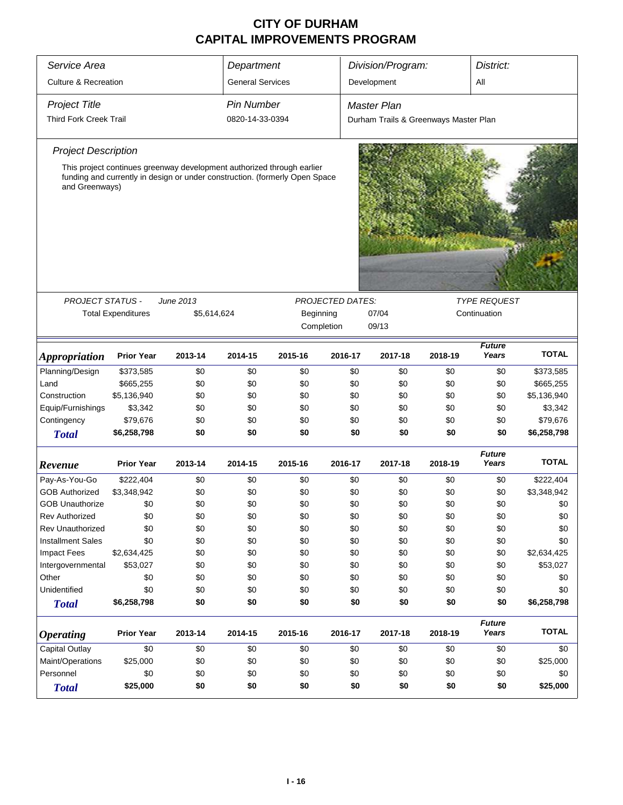| Service Area                    |                                                                             |             | Department              |            |                         | Division/Program:<br>District:        |         |                        |              |  |  |  |
|---------------------------------|-----------------------------------------------------------------------------|-------------|-------------------------|------------|-------------------------|---------------------------------------|---------|------------------------|--------------|--|--|--|
| <b>Culture &amp; Recreation</b> |                                                                             |             | <b>General Services</b> |            |                         | Development                           |         | All                    |              |  |  |  |
| <b>Project Title</b>            |                                                                             |             | <b>Pin Number</b>       |            |                         | <b>Master Plan</b>                    |         |                        |              |  |  |  |
| <b>Third Fork Creek Trail</b>   |                                                                             |             | 0820-14-33-0394         |            |                         | Durham Trails & Greenways Master Plan |         |                        |              |  |  |  |
| <b>Project Description</b>      |                                                                             |             |                         |            |                         |                                       |         |                        |              |  |  |  |
|                                 | This project continues greenway development authorized through earlier      |             |                         |            |                         |                                       |         |                        |              |  |  |  |
| and Greenways)                  | funding and currently in design or under construction. (formerly Open Space |             |                         |            |                         |                                       |         |                        |              |  |  |  |
|                                 |                                                                             |             |                         |            |                         |                                       |         |                        |              |  |  |  |
| <b>PROJECT STATUS -</b>         |                                                                             | June 2013   |                         |            | <b>PROJECTED DATES:</b> |                                       |         | <b>TYPE REQUEST</b>    |              |  |  |  |
|                                 |                                                                             |             |                         |            |                         |                                       |         |                        |              |  |  |  |
|                                 | <b>Total Expenditures</b>                                                   | \$5,614,624 |                         | Beginning  |                         | 07/04                                 |         | Continuation           |              |  |  |  |
|                                 |                                                                             |             |                         | Completion |                         | 09/13                                 |         |                        |              |  |  |  |
| <b>Appropriation</b>            | <b>Prior Year</b>                                                           | 2013-14     | 2014-15                 | 2015-16    | 2016-17                 | 2017-18                               | 2018-19 | <b>Future</b><br>Years | <b>TOTAL</b> |  |  |  |
| Planning/Design                 | \$373,585                                                                   | \$0         | \$0                     | \$0        | \$0                     | \$0                                   | \$0     | \$0                    | \$373,585    |  |  |  |
| Land                            | \$665,255                                                                   | \$0         | \$0                     | \$0        | \$0                     | \$0                                   | \$0     | \$0                    | \$665,255    |  |  |  |
| Construction                    | \$5,136,940                                                                 | \$0         | \$0                     | \$0        | \$0                     | \$0                                   | \$0     | \$0                    | \$5,136,940  |  |  |  |
| Equip/Furnishings               | \$3,342                                                                     | \$0         | \$0                     | \$0        | \$0                     | \$0                                   | \$0     | \$0                    | \$3,342      |  |  |  |
| Contingency                     | \$79,676                                                                    | \$0         | \$0                     | \$0        | \$0                     | \$0                                   | \$0     | \$0                    | \$79,676     |  |  |  |
| <b>Total</b>                    | \$6,258,798                                                                 | \$0         | \$0                     | \$0        | \$0                     | \$0                                   | \$0     | \$0                    | \$6,258,798  |  |  |  |
| Revenue                         | <b>Prior Year</b>                                                           | 2013-14     | 2014-15                 | 2015-16    | 2016-17                 | 2017-18                               | 2018-19 | <b>Future</b><br>Years | <b>TOTAL</b> |  |  |  |
| Pay-As-You-Go                   | \$222,404                                                                   | \$0         | \$0                     | \$0        | \$0                     | \$0                                   | \$0     | \$0                    | \$222,404    |  |  |  |
| <b>GOB Authorized</b>           | \$3,348,942                                                                 | \$0         | \$0                     | \$0        | \$0                     | \$0                                   | \$0     | \$0                    | \$3,348,942  |  |  |  |
| <b>GOB Unauthorize</b>          | \$0                                                                         | \$0         | \$0                     | \$0        | \$0                     | \$0                                   | \$0     | \$0                    | \$0          |  |  |  |
| <b>Rev Authorized</b>           | \$0                                                                         | \$0         | \$0                     | \$0        | \$0                     | \$0                                   | \$0     | \$0                    | \$0          |  |  |  |
| <b>Rev Unauthorized</b>         | \$0                                                                         | \$0         | \$0                     | \$0        | \$0                     | \$0                                   | \$0     | \$0                    | \$0          |  |  |  |
| <b>Installment Sales</b>        | \$0                                                                         | \$0         | \$0                     | \$0        | \$0                     | \$0                                   | \$0     | \$0                    | \$0          |  |  |  |
| <b>Impact Fees</b>              | \$2,634,425                                                                 | \$0         | \$0                     | \$0        | \$0                     | \$0                                   | \$0     | \$0                    | \$2,634,425  |  |  |  |
| Intergovernmental               | \$53,027                                                                    | \$0         | \$0                     | \$0        | \$0                     | \$0                                   | \$0     | \$0                    | \$53,027     |  |  |  |
| Other                           | \$0                                                                         | \$0         | \$0                     | \$0        | \$0                     | \$0                                   | \$0     | \$0                    | \$0          |  |  |  |
| Unidentified                    | \$0                                                                         | \$0         | \$0                     | \$0        | \$0                     | \$0                                   | \$0     | \$0                    | \$0          |  |  |  |
| <b>Total</b>                    | \$6,258,798                                                                 | \$0         | \$0                     | \$0        | \$0                     | \$0                                   | \$0     | \$0                    | \$6,258,798  |  |  |  |
|                                 |                                                                             |             |                         |            |                         |                                       |         |                        |              |  |  |  |
| <b>Operating</b>                | <b>Prior Year</b>                                                           | 2013-14     | 2014-15                 | 2015-16    | 2016-17                 | 2017-18                               | 2018-19 | <b>Future</b><br>Years | <b>TOTAL</b> |  |  |  |
| Capital Outlay                  | \$0                                                                         | \$0         | \$0                     | \$0        | \$0                     | \$0                                   | \$0     | \$0                    | \$0          |  |  |  |
| Maint/Operations                | \$25,000                                                                    | \$0         | \$0                     | \$0        | \$0                     | \$0                                   | \$0     | \$0                    | \$25,000     |  |  |  |
| Personnel                       | \$0                                                                         | \$0         | \$0                     | \$0        | \$0                     | \$0                                   | \$0     | \$0                    | \$0          |  |  |  |
| <b>Total</b>                    | \$25,000                                                                    | \$0         | \$0                     | \$0        | \$0                     | \$0                                   | \$0     | \$0                    | \$25,000     |  |  |  |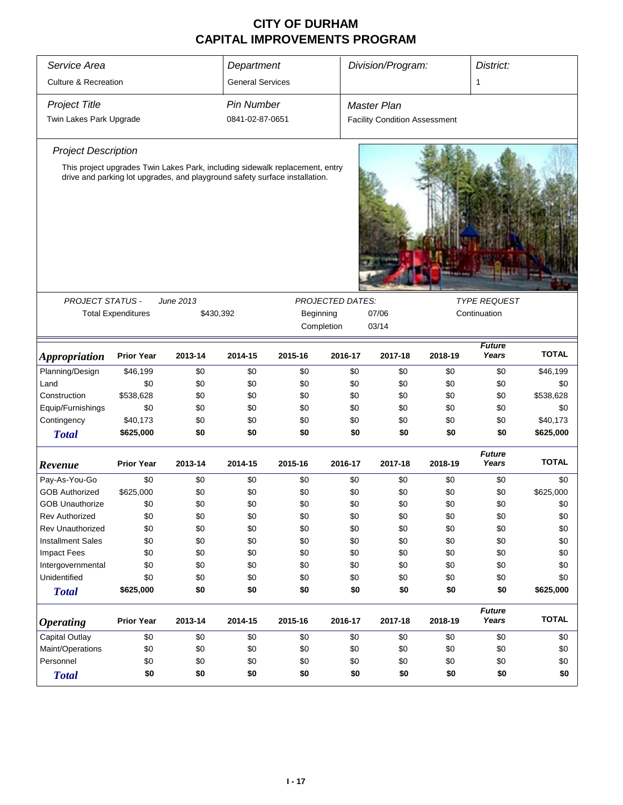| Service Area                    |                           | Department                                                                   |                         |           | Division/Program:       |                                      | District: |                               |              |  |  |
|---------------------------------|---------------------------|------------------------------------------------------------------------------|-------------------------|-----------|-------------------------|--------------------------------------|-----------|-------------------------------|--------------|--|--|
| <b>Culture &amp; Recreation</b> |                           |                                                                              | <b>General Services</b> |           |                         |                                      |           | 1                             |              |  |  |
| <b>Project Title</b>            |                           |                                                                              | <b>Pin Number</b>       |           |                         | <b>Master Plan</b>                   |           |                               |              |  |  |
| Twin Lakes Park Upgrade         |                           |                                                                              | 0841-02-87-0651         |           |                         | <b>Facility Condition Assessment</b> |           |                               |              |  |  |
| <b>Project Description</b>      |                           |                                                                              |                         |           |                         |                                      |           |                               |              |  |  |
|                                 |                           | This project upgrades Twin Lakes Park, including sidewalk replacement, entry |                         |           |                         |                                      |           |                               |              |  |  |
|                                 |                           | drive and parking lot upgrades, and playground safety surface installation.  |                         |           |                         |                                      |           |                               |              |  |  |
| PROJECT STATUS -                |                           | June 2013                                                                    |                         |           | <b>PROJECTED DATES:</b> |                                      |           | <b>TYPE REQUEST</b>           |              |  |  |
|                                 | <b>Total Expenditures</b> | \$430,392                                                                    |                         | Beginning |                         | 07/06                                |           | Continuation                  |              |  |  |
|                                 |                           |                                                                              |                         |           | Completion              | 03/14                                |           |                               |              |  |  |
| <i><b>Appropriation</b></i>     | <b>Prior Year</b>         | 2013-14                                                                      | 2014-15                 | 2015-16   | 2016-17                 | 2017-18                              | 2018-19   | <b>Future</b><br>Years        | <b>TOTAL</b> |  |  |
| Planning/Design                 | \$46,199                  | \$0                                                                          | \$0                     | \$0       | \$0                     | \$0                                  | \$0       | \$0                           | \$46,199     |  |  |
| Land                            | \$0                       | \$0                                                                          | \$0                     | \$0       | \$0                     | \$0                                  | \$0       | \$0                           | \$0          |  |  |
| Construction                    | \$538,628                 | \$0                                                                          | \$0                     | \$0       | \$0                     | \$0                                  | \$0       | \$0                           | \$538,628    |  |  |
| Equip/Furnishings               | \$0                       | \$0                                                                          | \$0                     | \$0       | \$0                     | \$0                                  | \$0       | \$0                           | \$0          |  |  |
| Contingency                     | \$40,173                  | \$0                                                                          | \$0                     | \$0       | \$0                     | \$0                                  | \$0       | \$0                           | \$40,173     |  |  |
| <b>Total</b>                    | \$625,000                 | \$0                                                                          | \$0                     | \$0       | \$0                     | \$0                                  | \$0       | \$0                           | \$625,000    |  |  |
| Revenue                         | <b>Prior Year</b>         | 2013-14                                                                      | 2014-15                 | 2015-16   | 2016-17                 | 2017-18                              | 2018-19   | <b>Future</b><br>Years        | <b>TOTAL</b> |  |  |
| Pay-As-You-Go                   | \$0                       | \$0                                                                          | \$0                     | \$0       | \$0                     | \$0                                  | \$0       | \$0                           | \$0          |  |  |
| <b>GOB Authorized</b>           | \$625,000                 | \$0                                                                          | \$0                     | \$0       | \$0                     | \$0                                  | \$0       | \$0                           | \$625,000    |  |  |
| <b>GOB Unauthorize</b>          | \$0                       | \$0                                                                          | \$0                     | \$0       | \$0                     | \$0                                  | \$0       | \$0                           | \$0          |  |  |
| Rev Authorized                  | \$0                       | \$0                                                                          | \$0                     | \$0       | \$0                     | \$0                                  | \$0       | \$0                           | \$0          |  |  |
| <b>Rev Unauthorized</b>         | \$0                       | \$0                                                                          | \$0                     | \$0       | \$0                     | \$0                                  | \$0       | \$0                           | \$0          |  |  |
| <b>Installment Sales</b>        | \$0                       | \$0                                                                          | \$0                     | \$0       | \$0                     | \$0                                  | \$0       | \$0                           | \$0          |  |  |
| <b>Impact Fees</b>              | \$0                       | \$0                                                                          | \$0                     | \$0       | \$0                     | \$0                                  | \$0       | \$0                           | \$0          |  |  |
| Intergovernmental               | \$0                       | \$0                                                                          | \$0                     | \$0       | \$0                     | \$0                                  | \$0       | \$0                           | \$0          |  |  |
| Unidentified                    | \$0                       | \$0                                                                          | \$0                     | \$0       | \$0                     | \$0                                  | \$0       | \$0                           | \$0          |  |  |
| <b>Total</b>                    | \$625,000                 | \$0                                                                          | \$0                     | \$0       | \$0                     | \$0                                  | \$0       | \$0                           | \$625,000    |  |  |
| <b>Operating</b>                | <b>Prior Year</b>         | 2013-14                                                                      | 2014-15                 | 2015-16   | 2016-17                 | 2017-18                              | 2018-19   | <b>Future</b><br><b>Years</b> | <b>TOTAL</b> |  |  |
| Capital Outlay                  | \$0                       | \$0                                                                          | \$0                     | \$0       | \$0                     | \$0                                  | \$0       | \$0                           | \$0          |  |  |
| Maint/Operations                | \$0                       | \$0                                                                          | \$0                     | \$0       | \$0                     | \$0                                  | \$0       | \$0                           | \$0          |  |  |
| Personnel                       | \$0                       | \$0                                                                          | \$0                     | \$0       | \$0                     | \$0                                  | \$0       | \$0                           | \$0          |  |  |
| <b>Total</b>                    | \$0                       | \$0                                                                          | \$0                     | \$0       | \$0                     | \$0                                  | \$0       | \$0                           | \$0          |  |  |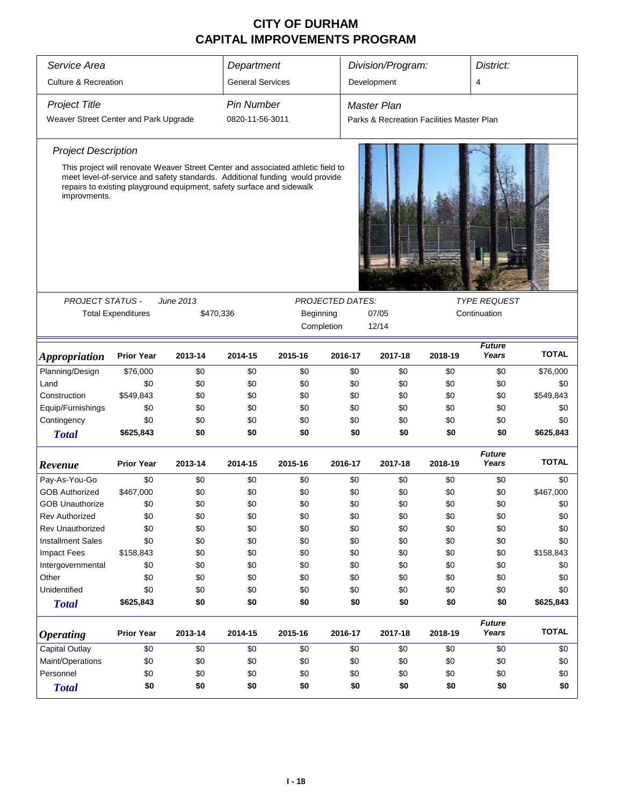| Service Area                          |                           |                                                                       | Department              |                                                                                                                                                                  |                  | Division/Program:                         | District: |                        |              |  |  |
|---------------------------------------|---------------------------|-----------------------------------------------------------------------|-------------------------|------------------------------------------------------------------------------------------------------------------------------------------------------------------|------------------|-------------------------------------------|-----------|------------------------|--------------|--|--|
|                                       |                           |                                                                       |                         |                                                                                                                                                                  |                  |                                           |           |                        |              |  |  |
| <b>Culture &amp; Recreation</b>       |                           |                                                                       | <b>General Services</b> |                                                                                                                                                                  |                  | Development                               | 4         |                        |              |  |  |
| <b>Project Title</b>                  |                           |                                                                       | <b>Pin Number</b>       |                                                                                                                                                                  |                  | <b>Master Plan</b>                        |           |                        |              |  |  |
| Weaver Street Center and Park Upgrade |                           |                                                                       | 0820-11-56-3011         |                                                                                                                                                                  |                  | Parks & Recreation Facilities Master Plan |           |                        |              |  |  |
| <b>Project Description</b>            |                           |                                                                       |                         |                                                                                                                                                                  |                  |                                           |           |                        |              |  |  |
| improvments.                          |                           | repairs to existing playground equipment, safety surface and sidewalk |                         | This project will renovate Weaver Street Center and associated athletic field to<br>meet level-of-service and safety standards. Additional funding would provide |                  |                                           |           |                        |              |  |  |
| PROJECT STATUS -                      |                           | June 2013                                                             |                         |                                                                                                                                                                  | PROJECTED DATES: |                                           |           | <b>TYPE REQUEST</b>    |              |  |  |
|                                       | <b>Total Expenditures</b> | \$470,336                                                             |                         | Beginning                                                                                                                                                        |                  | 07/05<br>Continuation                     |           |                        |              |  |  |
|                                       |                           |                                                                       |                         |                                                                                                                                                                  | Completion       | 12/14                                     |           |                        |              |  |  |
|                                       |                           |                                                                       |                         |                                                                                                                                                                  |                  |                                           |           | <b>Future</b>          |              |  |  |
| <i><b>Appropriation</b></i>           | <b>Prior Year</b>         | 2013-14                                                               | 2014-15                 | 2015-16                                                                                                                                                          | 2016-17          | 2017-18                                   | 2018-19   | Years                  | <b>TOTAL</b> |  |  |
| Planning/Design                       | \$76,000                  | \$0                                                                   | \$0                     | \$0                                                                                                                                                              | \$0              | \$0                                       | \$0       | \$0                    | \$76,000     |  |  |
| Land                                  | \$0                       | \$0                                                                   | \$0                     | \$0                                                                                                                                                              | \$0              | \$0                                       | \$0       | \$0                    | \$0          |  |  |
| Construction                          | \$549,843                 | \$0                                                                   | \$0                     | \$0                                                                                                                                                              | \$0              | \$0                                       | \$0       | \$0                    | \$549,843    |  |  |
| Equip/Furnishings                     | \$0                       | \$0                                                                   | \$0                     | \$0                                                                                                                                                              | \$0              | \$0                                       | \$0       | \$0                    | \$0          |  |  |
| Contingency                           | \$0                       | \$0                                                                   | \$0                     | \$0                                                                                                                                                              | \$0              | \$0                                       | \$0       | \$0                    | \$0          |  |  |
| <b>Total</b>                          | \$625,843                 | \$0                                                                   | \$0                     | \$0                                                                                                                                                              | \$0              | \$0                                       | \$0       | \$0                    | \$625,843    |  |  |
| Revenue                               | <b>Prior Year</b>         | 2013-14                                                               | 2014-15                 | 2015-16                                                                                                                                                          | 2016-17          | 2017-18                                   | 2018-19   | <b>Future</b><br>Years | <b>TOTAL</b> |  |  |
| Pay-As-You-Go                         | \$0                       | \$0                                                                   | \$0                     | \$0                                                                                                                                                              | \$0              | \$0                                       | \$0       | \$0                    | \$0          |  |  |
| <b>GOB Authorized</b>                 | \$467,000                 | \$0                                                                   | \$0                     | \$0                                                                                                                                                              | \$0              | \$0                                       | \$0       | \$0                    | \$467,000    |  |  |
| <b>GOB Unauthorize</b>                | \$0                       | \$0                                                                   | \$0                     | \$0                                                                                                                                                              | \$0              | \$0                                       | \$0       | \$0                    | \$0          |  |  |
| Rev Authorized                        | \$0                       | \$0                                                                   | \$0                     | \$0                                                                                                                                                              | \$0              | \$0                                       | \$0       | \$0                    | \$0          |  |  |
| <b>Rev Unauthorized</b>               | \$0                       | \$0                                                                   | \$0                     | \$0                                                                                                                                                              | \$0              | \$0                                       | \$0       | \$0                    | \$0          |  |  |
| <b>Installment Sales</b>              | \$0                       | \$0                                                                   | \$0                     | \$0                                                                                                                                                              | \$0              | \$0                                       | \$0       | \$0                    | \$0          |  |  |
| <b>Impact Fees</b>                    | \$158,843                 | \$0                                                                   | \$0                     | \$0                                                                                                                                                              | \$0              | \$0                                       | \$0       | \$0                    | \$158,843    |  |  |
| Intergovernmental                     | \$0                       | \$0                                                                   | \$0                     | \$0                                                                                                                                                              | \$0              | \$0                                       | \$0       | \$0                    | \$0          |  |  |
| Other                                 | \$0                       | \$0                                                                   | \$0                     | \$0                                                                                                                                                              | \$0              | \$0                                       | \$0       | \$0                    | \$0          |  |  |
| Unidentified                          | \$0                       | \$0                                                                   | \$0                     | \$0                                                                                                                                                              | \$0              | \$0                                       | \$0       | \$0                    | \$0          |  |  |
| <b>Total</b>                          | \$625,843                 | \$0                                                                   | \$0                     | \$0                                                                                                                                                              | \$0              | \$0                                       | \$0       | \$0                    | \$625,843    |  |  |
| <b>Operating</b>                      | <b>Prior Year</b>         | 2013-14                                                               | 2014-15                 | 2015-16                                                                                                                                                          | 2016-17          | 2017-18                                   | 2018-19   | <b>Future</b><br>Years | <b>TOTAL</b> |  |  |
| Capital Outlay                        | \$0                       | \$0                                                                   | \$0                     | \$0                                                                                                                                                              | \$0              | \$0                                       | \$0       | \$0                    | \$0          |  |  |
| Maint/Operations                      | \$0                       | \$0                                                                   | \$0                     | \$0                                                                                                                                                              | \$0              | \$0                                       | \$0       | \$0                    | \$0          |  |  |
| Personnel                             | \$0                       | \$0                                                                   | \$0                     | \$0                                                                                                                                                              | \$0              | \$0                                       | \$0       | \$0                    | \$0          |  |  |
| <b>Total</b>                          | \$0                       | \$0                                                                   | \$0                     | \$0                                                                                                                                                              | \$0              | \$0                                       | \$0       | \$0                    | \$0          |  |  |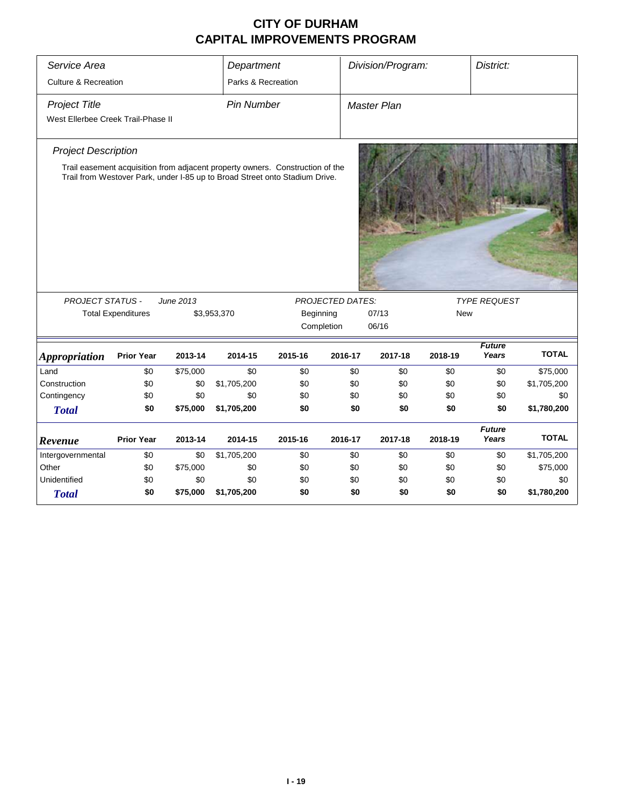| Service Area                       |                           |           | Department                                                                    |           |                         | Division/Program: |            | District:           |              |
|------------------------------------|---------------------------|-----------|-------------------------------------------------------------------------------|-----------|-------------------------|-------------------|------------|---------------------|--------------|
| Culture & Recreation               |                           |           | Parks & Recreation                                                            |           |                         |                   |            |                     |              |
| <b>Project Title</b>               |                           |           | <b>Pin Number</b>                                                             |           |                         | Master Plan       |            |                     |              |
| West Ellerbee Creek Trail-Phase II |                           |           |                                                                               |           |                         |                   |            |                     |              |
|                                    |                           |           |                                                                               |           |                         |                   |            |                     |              |
| <b>Project Description</b>         |                           |           |                                                                               |           |                         |                   |            |                     |              |
|                                    |                           |           | Trail easement acquisition from adjacent property owners. Construction of the |           |                         |                   |            |                     |              |
|                                    |                           |           | Trail from Westover Park, under I-85 up to Broad Street onto Stadium Drive.   |           |                         |                   |            |                     |              |
|                                    |                           |           |                                                                               |           |                         |                   |            |                     |              |
|                                    |                           |           |                                                                               |           |                         |                   |            |                     |              |
|                                    |                           |           |                                                                               |           |                         |                   |            |                     |              |
|                                    |                           |           |                                                                               |           |                         |                   |            |                     |              |
|                                    |                           |           |                                                                               |           |                         |                   |            |                     |              |
|                                    |                           |           |                                                                               |           |                         |                   |            |                     |              |
|                                    |                           |           |                                                                               |           |                         |                   |            |                     |              |
|                                    |                           |           |                                                                               |           |                         |                   |            |                     |              |
| <b>PROJECT STATUS -</b>            |                           | June 2013 |                                                                               |           | <b>PROJECTED DATES:</b> |                   |            | <b>TYPE REQUEST</b> |              |
|                                    | <b>Total Expenditures</b> |           | \$3,953,370                                                                   | Beginning |                         | 07/13             | <b>New</b> |                     |              |
|                                    |                           |           |                                                                               |           | Completion              | 06/16             |            |                     |              |
|                                    |                           |           |                                                                               |           |                         |                   |            | <b>Future</b>       |              |
| <b>Appropriation</b>               | <b>Prior Year</b>         | 2013-14   | 2014-15                                                                       | 2015-16   | 2016-17                 | 2017-18           | 2018-19    | Years               | <b>TOTAL</b> |
| Land                               | \$0                       | \$75,000  | \$0                                                                           | \$0       | \$0                     | \$0               | \$0        | \$0                 | \$75,000     |
| Construction                       | \$0                       | \$0       | \$1,705,200                                                                   | \$0       | \$0                     | \$0               | \$0        | \$0                 | \$1,705,200  |
| Contingency                        | \$0                       | \$0       | \$0                                                                           | \$0       | \$0                     | \$0               | \$0        | \$0                 | \$0          |
| <b>Total</b>                       | \$0                       | \$75,000  | \$1,705,200                                                                   | \$0       | \$0                     | \$0               | \$0        | \$0                 | \$1,780,200  |
|                                    |                           |           |                                                                               |           |                         |                   |            | <b>Future</b>       |              |
| Revenue                            | <b>Prior Year</b>         | 2013-14   | 2014-15                                                                       | 2015-16   | 2016-17                 | 2017-18           | 2018-19    | Years               | <b>TOTAL</b> |
| Intergovernmental                  | \$0                       | \$0       | \$1,705,200                                                                   | \$0       | \$0                     | \$0               | \$0        | \$0                 | \$1,705,200  |
| Other                              | \$0                       | \$75,000  | \$0                                                                           | \$0       | \$0                     | \$0               | \$0        | \$0                 | \$75,000     |
| Unidentified                       | \$0                       | \$0       | \$0                                                                           | \$0       | \$0                     | \$0               | \$0        | \$0                 | \$0          |
| <b>Total</b>                       | \$0                       | \$75,000  | \$1,705,200                                                                   | \$0       | \$0                     | \$0               | \$0        | \$0                 | \$1,780,200  |